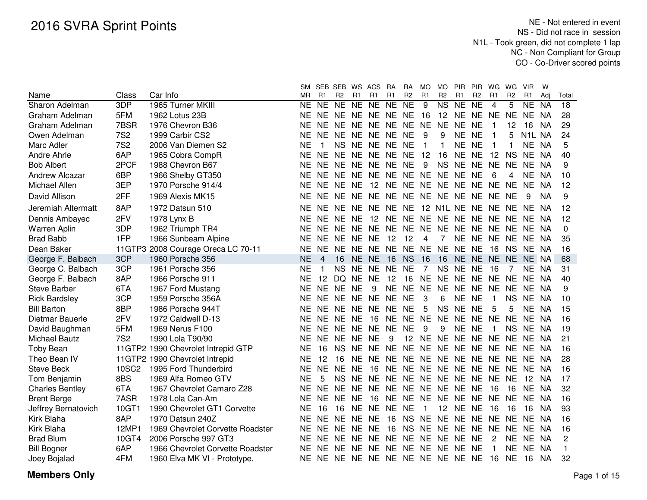|                        |              |                                    | SM.       |           | SEB SEB WS ACS |           |                               | <b>RA</b> | RA             | MO             | MO.                        | <b>PIR</b>      | <b>PIR</b>      | WG             | WG             | <b>VIR</b>          | W         |                |
|------------------------|--------------|------------------------------------|-----------|-----------|----------------|-----------|-------------------------------|-----------|----------------|----------------|----------------------------|-----------------|-----------------|----------------|----------------|---------------------|-----------|----------------|
| Name                   | Class        | Car Info                           | MR        | R1        | R <sub>2</sub> | R1        | R1                            | R1        | R <sub>2</sub> | R <sub>1</sub> | R <sub>2</sub>             | R <sub>1</sub>  | R <sub>2</sub>  | R <sub>1</sub> | R <sub>2</sub> | R1                  | Adi       | Total          |
| Sharon Adelman         | 3DP          | 1965 Turner MKIII                  | <b>NE</b> | NE        | NE NE          |           | NE                            | NE        | $N_{E}$        | 9              | $\overline{\text{NS}}$     | $\overline{NE}$ | $\overline{NE}$ | $\overline{4}$ | 5              | <b>NE</b>           | <b>NA</b> | 18             |
| Graham Adelman         | 5FM          | 1962 Lotus 23B                     | ΝE        | <b>NE</b> | NE NE          |           | <b>NE</b>                     | NE NE     |                | -16            |                            | 12 NE           | <b>NE</b>       | NE NE          |                | <b>NE</b>           | NA.       | 28             |
| Graham Adelman         | 7BSR         | 1976 Chevron B36                   | NE        | <b>NE</b> | NE NE          |           | <b>NE</b>                     | NE NE     |                | <b>NE</b>      | NE NE                      |                 | <b>NE</b>       | 1              | 12             | 16                  | ΝA        | 29             |
| Owen Adelman           | <b>7S2</b>   | 1999 Carbir CS2                    | ΝE        | <b>NE</b> | NE NE          |           | <b>NE</b>                     | NE NE     |                | 9              | 9                          | <b>NE</b>       | <b>NE</b>       | 1              | 5              | N <sub>1</sub> L NA |           | 24             |
| Marc Adler             | <b>7S2</b>   | 2006 Van Diemen S2                 | <b>NE</b> | 1         | NS NE          |           | <b>NE</b>                     | NE NE     |                | 1              | $\mathbf{1}$               | <b>NE</b>       | <b>NE</b>       | $\mathbf{1}$   |                | <b>NE</b>           | <b>NA</b> | 5              |
| Andre Ahrle            | 6AP          | 1965 Cobra CompR                   | <b>NE</b> | <b>NE</b> | <b>NE</b>      | <b>NE</b> | <b>NE</b>                     | <b>NE</b> | <b>NE</b>      | 12             | 16                         | <b>NE</b>       | <b>NE</b>       | 12             | <b>NS</b>      | <b>NE</b>           | NA        | 40             |
| <b>Bob Albert</b>      | 2PCF         | 1988 Chevron B67                   | <b>NE</b> | <b>NE</b> | NE NE          |           | <b>NE</b>                     | <b>NE</b> | <b>NE</b>      | 9              | <b>NS</b>                  | <b>NE</b>       | <b>NE</b>       | NE NE          |                | <b>NE</b>           | <b>NA</b> | 9              |
| <b>Andrew Alcazar</b>  | 6BP          | 1966 Shelby GT350                  | NE.       | <b>NE</b> | NE NE NE       |           |                               | <b>NE</b> | NE NE          |                | NE NE                      |                 | <b>NE</b>       | 6              | 4              | <b>NE</b>           | NA        | 10             |
| Michael Allen          | 3EP          | 1970 Porsche 914/4                 | ΝE        | <b>NE</b> | NE NE          |           | 12                            | <b>NE</b> | <b>NE</b>      | <b>NE</b>      | NE NE                      |                 | <b>NE</b>       | <b>NE</b>      | <b>NE</b>      | <b>NE</b>           | NA        | 12             |
| David Allison          | 2FF          | 1969 Alexis MK15                   | ΝE        | <b>NE</b> | NE NE          |           | <b>NE</b>                     |           |                |                | NE NE NE NE NE NE          |                 |                 | NE NE          |                | 9                   | <b>NA</b> | 9              |
| Jeremiah Altermatt     | 8AP          | 1972 Datsun 510                    | NΕ        | NE.       | NE NE NE       |           |                               | NE NE     |                |                | 12 N1L NE NE NE NE NE      |                 |                 |                |                |                     | NA        | 12             |
| Dennis Ambayec         | 2FV          | 1978 Lynx B                        | NE.       |           | NE NE NE       |           | 12                            |           |                |                | NE NE NE NE NE NE NE NE NE |                 |                 |                |                |                     | NA        | 12             |
| Warren Aplin           | 3DP          | 1962 Triumph TR4                   | NE        | NE.       | NE NE NE       |           |                               | NE NE NE  |                |                | NE NE NE                   |                 |                 | NE NE NE       |                |                     | NA        | 0              |
| <b>Brad Babb</b>       | 1FP          | 1966 Sunbeam Alpine                | NE        | <b>NE</b> | NE NE          |           | <b>NE</b>                     | 12        | 12             | 4              | $\overline{7}$             | NE NE           |                 | NE NE NE       |                |                     | NA.       | 35             |
| Dean Baker             | 11GTP3       | 2008 Courage Oreca LC 70-11        | NE        | <b>NE</b> | NE NE          |           | <b>NE</b>                     | NE NE NE  |                |                |                            | NE NE NE        |                 | 16             | <b>NS</b>      | NE.                 | - NA      | 16             |
| George F. Balbach      | 3CP          | 1960 Porsche 356                   | <b>NE</b> | 4         | 16             | NE.       | <b>NE</b>                     | 16        | <b>NS</b>      | 16             | 16                         | NE NE           |                 | NE NE          |                | NE NA               |           | 68             |
| George C. Balbach      | 3CP          | 1961 Porsche 356                   | ΝE        |           | NS NE          |           | <b>NE</b>                     | NE NE     |                | 7              | NS NE                      |                 | <b>NE</b>       | 16             |                | NE.                 | -NA       | 31             |
| George F. Balbach      | 8AP          | 1966 Porsche 911                   | <b>NE</b> | 12        | DQ NE          |           | <b>NE</b>                     | 12        | 16             | <b>NE</b>      | NE NE                      |                 | <b>NE</b>       | NE NE          |                | <b>NE</b>           | NA        | 40             |
| <b>Steve Barber</b>    | 6TA          | 1967 Ford Mustang                  | NE        | <b>NE</b> | NE NE          |           | 9                             | NE NE     |                | <b>NE</b>      | NE NE                      |                 | <b>NE</b>       | NE NE          |                | <b>NE</b>           | NA        | 9              |
| <b>Rick Bardsley</b>   | 3CP          | 1959 Porsche 356A                  | <b>NE</b> | <b>NE</b> | NE NE          |           | <b>NE</b>                     | NE NE     |                | 3              | 6                          | <b>NE</b>       | <b>NE</b>       | $\mathbf{1}$   | <b>NS</b>      | <b>NE</b>           | NA        | 10             |
| <b>Bill Barton</b>     | 8BP          | 1986 Porsche 944T                  | <b>NE</b> | NE.       | NE NE          |           | <b>NE</b>                     | <b>NE</b> | <b>NE</b>      | 5              | <b>NS</b>                  | <b>NE</b>       | <b>NE</b>       | 5              | 5              | <b>NE</b>           | NA        | 15             |
| Dietmar Bauerle        | 2FV          | 1972 Caldwell D-13                 | <b>NE</b> | NE.       | NE NE          |           | 16                            | <b>NE</b> | NE NE          |                | <b>NE</b>                  | <b>NE</b>       | <b>NE</b>       | NE NE          |                | <b>NE</b>           | NA        | 16             |
| David Baughman         | 5FM          | 1969 Nerus F100                    | <b>NE</b> | <b>NE</b> | <b>NE</b>      | NE.       | <b>NE</b>                     | <b>NE</b> | <b>NE</b>      | 9              | 9                          | NE.             | <b>NE</b>       | -1             | <b>NS</b>      | NE.                 | NA        | 19             |
| <b>Michael Bautz</b>   | <b>7S2</b>   | 1990 Lola T90/90                   | NE.       | <b>NE</b> | <b>NE</b>      | <b>NE</b> | <b>NE</b>                     | 9         | 12             | <b>NE</b>      | NE NE                      |                 | <b>NE</b>       | NE NE          |                | <b>NE</b>           | NA        | 21             |
| <b>Toby Bean</b>       |              | 11GTP2 1990 Chevrolet Intrepid GTP | <b>NE</b> | 16        | <b>NS</b>      | <b>NE</b> | <b>NE</b>                     | <b>NE</b> | <b>NE</b>      | <b>NE</b>      | NE NE                      |                 | <b>NE</b>       | NE NE          |                | <b>NE</b>           | -NA       | 16             |
| Theo Bean IV           |              | 11GTP2 1990 Chevrolet Intrepid     | <b>NE</b> | 12        | 16             | <b>NE</b> | <b>NE</b>                     | NE NE     |                |                | NE NE NE NE NE NE          |                 |                 |                |                | <b>NE</b>           | <b>NA</b> | 28             |
| <b>Steve Beck</b>      | <b>10SC2</b> | 1995 Ford Thunderbird              | <b>NE</b> | <b>NE</b> | NE NE          |           | 16                            |           |                |                | NE NE NE NE NE NE NE NE    |                 |                 |                |                | <b>NE</b>           | <b>NA</b> | 16             |
| Tom Benjamin           | 8BS          | 1969 Alfa Romeo GTV                | <b>NE</b> | 5         | <b>NS</b>      | <b>NE</b> | <b>NE</b>                     | NE NE     |                | <b>NE</b>      | NE NE                      |                 | <b>NE</b>       | NE NE          |                | 12                  | <b>NA</b> | 17             |
| <b>Charles Bentley</b> | 6TA          | 1967 Chevrolet Camaro Z28          | <b>NE</b> | <b>NE</b> | NE NE          |           | <b>NE</b>                     | NE NE NE  |                |                | NE NE NE                   |                 |                 | 16             | 16             | <b>NE</b>           | <b>NA</b> | 32             |
| <b>Brent Berge</b>     | 7ASR         | 1978 Lola Can-Am                   | ΝE        | <b>NE</b> | NE NE          |           | 16                            |           | NE NE NE       |                | NE NE NE NE NE NE          |                 |                 |                |                |                     | NA        | 16             |
| Jeffrey Bernatovich    | 10GT1        | 1990 Chevrolet GT1 Corvette        | <b>NE</b> | 16        | 16             | NE NE     |                               | NE NE     |                | -1             |                            | 12 NE NE        |                 | 16             | 16             | 16                  | <b>NA</b> | 93             |
| Kirk Blaha             | 8AP          | 1970 Datsun 240Z                   | NE.       | <b>NE</b> | NE NE          |           | NE                            | 16        | <b>NS</b>      | NE.            | NE NE NE                   |                 |                 | NE NE NE       |                |                     | NA        | 16             |
| Kirk Blaha             | 12MP1        | 1969 Chevrolet Corvette Roadster   | <b>NE</b> | <b>NE</b> | NE NE          |           | <b>NE</b>                     | 16        | <b>NS</b>      | <b>NE</b>      | NE NE                      |                 | <b>NE</b>       | NE NE          |                | NE.                 | <b>NA</b> | 16             |
| <b>Brad Blum</b>       | 10GT4        | 2006 Porsche 997 GT3               | <b>NE</b> | NE.       | NE NE          |           | <b>NE</b>                     | NE NE     |                | <b>NE</b>      | NE NE                      |                 | <b>NE</b>       | 2              | NE             | <b>NE</b>           | NA        | $\overline{c}$ |
| <b>Bill Bogner</b>     | 6AP          | 1966 Chevrolet Corvette Roadster   | NE        | <b>NE</b> | NE NE          |           | NE.                           |           |                |                | NE NE NE NE NE             |                 | <b>NE</b>       | 1              | <b>NE</b>      | <b>NE</b>           | <b>NA</b> | $\mathbf{1}$   |
| Joey Bojalad           | 4FM          | 1960 Elva MK VI - Prototype.       | NE.       |           |                |           | NE NE NE NE NE NE NE NE NE NE |           |                |                |                            |                 |                 | 16             | NE             | 16                  | <b>NA</b> | 32             |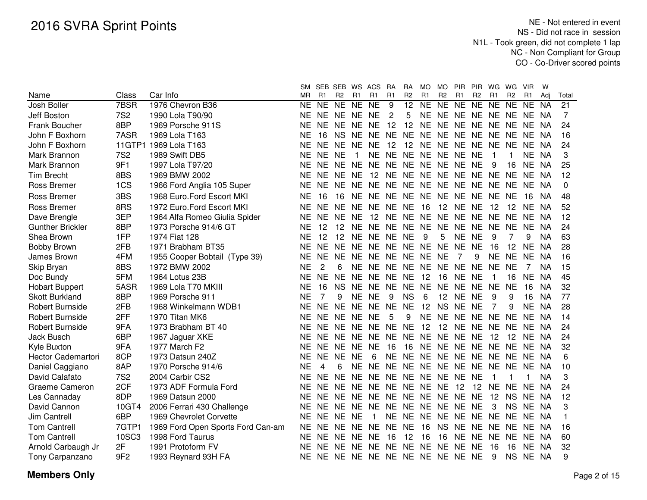|                         |                 |                                   | SM        | SEB SEB WS ACS |                |           |                               | <b>RA</b>      | RA              | MO.       | MO.            | <b>PIR</b>     | <b>PIR</b>     | WG             | WG             | <b>VIR</b> | W         |       |
|-------------------------|-----------------|-----------------------------------|-----------|----------------|----------------|-----------|-------------------------------|----------------|-----------------|-----------|----------------|----------------|----------------|----------------|----------------|------------|-----------|-------|
| Name                    | Class           | Car Info                          | MR        | R1             | R <sub>2</sub> | R1        | <b>R1</b>                     | R <sub>1</sub> | R <sub>2</sub>  | R1        | R <sub>2</sub> | R1             | R <sub>2</sub> | R <sub>1</sub> | R <sub>2</sub> | R1         | Adi       | Total |
| Josh Boller             | 7BSR            | 1976 Chevron B36                  | NE.       | <b>NE</b>      | NE             | NE NE     |                               | 9              | $\overline{12}$ | <b>NE</b> | <b>NE</b>      | NE NE          |                | <b>NE</b>      | NE             | <b>NE</b>  | <b>NA</b> | 21    |
| Jeff Boston             | <b>7S2</b>      | 1990 Lola T90/90                  | <b>NE</b> | NE NE          |                | NE NE     |                               | 2              | 5               | NE NE     |                | NE NE NE       |                |                | <b>NE</b>      | NE NA      |           | 7     |
| Frank Boucher           | 8BP             | 1969 Porsche 911S                 | <b>NE</b> | <b>NE</b>      | <b>NE</b>      | <b>NE</b> | <b>NE</b>                     | 12             | 12              | NE NE     |                | <b>NE</b>      | NE NE          |                | <b>NE</b>      | <b>NE</b>  | <b>NA</b> | 24    |
| John F Boxhorn          | 7ASR            | 1969 Lola T163                    | NE        | 16             | <b>NS</b>      | <b>NE</b> | <b>NE</b>                     | <b>NE</b>      | <b>NE</b>       | <b>NE</b> | NE.            | <b>NE</b>      | <b>NE</b>      | <b>NE</b>      | <b>NE</b>      | <b>NE</b>  | NA        | 16    |
| John F Boxhorn          |                 | 11GTP1 1969 Lola T163             | <b>NE</b> | <b>NE</b>      | <b>NE</b>      | <b>NE</b> | <b>NE</b>                     | 12             | 12              | NE NE NE  |                |                | <b>NE</b>      | <b>NE</b>      | <b>NE</b>      | <b>NE</b>  | NA        | 24    |
| Mark Brannon            | <b>7S2</b>      | 1989 Swift DB5                    | <b>NE</b> | <b>NE</b>      | <b>NE</b>      | -1        | <b>NE</b>                     | NE NE          |                 | NE NE NE  |                |                | <b>NE</b>      | 1              |                | <b>NE</b>  | NA        | 3     |
| Mark Brannon            | 9F1             | 1997 Lola T97/20                  | <b>NE</b> | NE NE          |                | <b>NE</b> | NE NE NE NE NE NE             |                |                 |           |                |                | <b>NE</b>      | 9              | 16             | <b>NE</b>  | <b>NA</b> | 25    |
| <b>Tim Brecht</b>       | 8BS             | 1969 BMW 2002                     | <b>NE</b> | <b>NE</b>      | NE.            | <b>NE</b> | 12 NE NE                      |                |                 | NE NE NE  |                |                | <b>NE</b>      | <b>NE</b>      | <b>NE</b>      | NF.        | NA        | 12    |
| Ross Bremer             | 1CS             | 1966 Ford Anglia 105 Super        | <b>NE</b> | <b>NE</b>      | <b>NE</b>      | <b>NE</b> | NE NE NE                      |                |                 | NE NE NE  |                |                | NE             | NE.            | NE             | NE NA      |           | 0     |
| Ross Bremer             | 3BS             | 1968 Euro.Ford Escort MKI         | <b>NE</b> | 16             | 16             | <b>NE</b> | NE NE NE                      |                |                 | NE NE NE  |                |                | <b>NE</b>      | <b>NE</b>      | <b>NE</b>      | 16         | NA        | 48    |
| Ross Bremer             | 8RS             | 1972 Euro.Ford Escort MKI         | <b>NE</b> | <b>NE</b>      | NE.            |           | NE NE NE                      |                | <b>NE</b>       | 16        | 12             | NE NE          |                | 12             | 12             | NE NA      |           | 52    |
| Dave Brengle            | 3EP             | 1964 Alfa Romeo Giulia Spider     | <b>NE</b> | <b>NE</b>      | <b>NE</b>      | <b>NE</b> | 12                            | <b>NE</b>      | <b>NE</b>       | NE NE     |                | <b>NE</b>      | <b>NE</b>      | <b>NE</b>      | <b>NE</b>      | NE.        | NA        | 12    |
| <b>Gunther Brickler</b> | 8BP             | 1973 Porsche 914/6 GT             | <b>NE</b> | 12             | 12             | <b>NE</b> | NE NE                         |                | <b>NE</b>       | <b>NE</b> | <b>NE</b>      | <b>NE</b>      | <b>NE</b>      | <b>NE</b>      | <b>NE</b>      | <b>NE</b>  | <b>NA</b> | 24    |
| Shea Brown              | 1FP             | 1974 Fiat 128                     | <b>NE</b> | 12             | 12             | <b>NE</b> | NE NE                         |                | <b>NE</b>       | 9         | 5              | <b>NE</b>      | <b>NE</b>      | 9              | 7              | 9          | <b>NA</b> | 63    |
| <b>Bobby Brown</b>      | 2FB             | 1971 Brabham BT35                 | <b>NE</b> | <b>NE</b>      | <b>NE</b>      | <b>NE</b> | <b>NE</b>                     | NE.            | <b>NE</b>       | <b>NE</b> | <b>NE</b>      | <b>NE</b>      | <b>NE</b>      | 16             | 12             | <b>NE</b>  | <b>NA</b> | 28    |
| James Brown             | 4FM             | 1955 Cooper Bobtail (Type 39)     | <b>NE</b> | <b>NE</b>      | NE.            | <b>NE</b> | <b>NE</b>                     | NE NE          |                 | <b>NE</b> | <b>NE</b>      | $\overline{7}$ | 9              | <b>NE</b>      | <b>NE</b>      | <b>NE</b>  | NA        | 16    |
| Skip Bryan              | 8BS             | 1972 BMW 2002                     | <b>NE</b> | $\overline{2}$ | 6              | <b>NE</b> | <b>NE</b>                     | NE NE          |                 | <b>NE</b> | NE NE          |                | <b>NE</b>      | <b>NE</b>      | <b>NE</b>      | 7          | ΝA        | 15    |
| Doc Bundy               | 5FM             | 1964 Lotus 23B                    | <b>NE</b> | <b>NE</b>      | <b>NE</b>      | <b>NE</b> | NE NE NE                      |                |                 | 12        | 16             | <b>NE</b>      | <b>NE</b>      | 1              | 16             | <b>NE</b>  | <b>NA</b> | 45    |
| <b>Hobart Buppert</b>   | 5ASR            | 1969 Lola T70 MKIII               | <b>NE</b> | 16             | <b>NS</b>      | NE        | NE                            | NE             | NE NE           |           | NE NE          |                | <b>NE</b>      | <b>NE</b>      | <b>NE</b>      | 16         | NA        | 32    |
| <b>Skott Burkland</b>   | 8BP             | 1969 Porsche 911                  | <b>NE</b> | 7              | 9              | <b>NE</b> | <b>NE</b>                     | 9              | <b>NS</b>       | 6         | 12             | <b>NE</b>      | <b>NE</b>      | 9              | 9              | 16         | NA        | 77    |
| <b>Robert Burnside</b>  | 2FB             | 1968 Winkelmann WDB1              | <b>NE</b> | <b>NE</b>      | <b>NE</b>      | <b>NE</b> | <b>NE</b>                     | <b>NE</b>      | <b>NE</b>       | 12        | <b>NS</b>      | <b>NE</b>      | <b>NE</b>      | 7              | 9              | <b>NE</b>  | <b>NA</b> | 28    |
| <b>Robert Burnside</b>  | 2FF             | 1970 Titan MK6                    | <b>NE</b> | <b>NE</b>      | <b>NE</b>      | <b>NE</b> | <b>NE</b>                     | 5              | 9               | <b>NE</b> | <b>NE</b>      | <b>NE</b>      | <b>NE</b>      | <b>NE</b>      | <b>NE</b>      | <b>NE</b>  | NA        | 14    |
| <b>Robert Burnside</b>  | 9FA             | 1973 Brabham BT 40                | <b>NE</b> | NE             | <b>NE</b>      | <b>NE</b> | NE NE                         |                | <b>NE</b>       | 12        | 12             | <b>NE</b>      | NE NE          |                | <b>NE</b>      | NE NA      |           | 24    |
| <b>Jack Busch</b>       | 6BP             | 1967 Jaguar XKE                   | <b>NE</b> | <b>NE</b>      | <b>NE</b>      | <b>NE</b> | NE NE                         |                |                 | NE NE NE  |                | <b>NE</b>      | <b>NE</b>      | 12             | 12             | NE NA      |           | 24    |
| Kyle Buxton             | 9FA             | 1977 March F2                     | <b>NE</b> | <b>NE</b>      | <b>NE</b>      | <b>NE</b> | <b>NE</b>                     | 16             | 16              | NE NE     |                | <b>NE</b>      | NE NE          |                | <b>NE</b>      | NE NA      |           | 32    |
| Hector Cademartori      | 8CP             | 1973 Datsun 240Z                  | <b>NE</b> | NE NE          |                | <b>NE</b> | 6                             | <b>NE</b>      | <b>NE</b>       | NE NE NE  |                |                |                | NE NE NE       |                | NE NA      |           | 6     |
| Daniel Caggiano         | 8AP             | 1970 Porsche 914/6                | <b>NE</b> | 4              | 6              | <b>NE</b> | NE NE NE NE NE NE NE NE       |                |                 |           |                |                |                |                | NE.            | NE.        | NA        | 10    |
| David Calafato          | <b>7S2</b>      | 2004 Carbir CS2                   | <b>NE</b> | <b>NE</b>      | <b>NE</b>      | <b>NE</b> | NE NE NE NE NE NE             |                |                 |           |                |                | <b>NE</b>      | 1              | 1              | 1          | <b>NA</b> | 3     |
| Graeme Cameron          | 2CF             | 1973 ADF Formula Ford             | <b>NE</b> | <b>NE</b>      |                |           | NE NE NE NE NE NE NE 12       |                |                 |           |                |                | 12             | NE NE          |                | NE NA      |           | 24    |
| Les Cannaday            | 8DP             | 1969 Datsun 2000                  | <b>NE</b> |                |                |           | NE NE NE NE NE NE NE NE NE NE |                |                 |           |                |                |                | 12             | <b>NS</b>      | NE NA      |           | 12    |
| David Cannon            | 10GT4           | 2006 Ferrari 430 Challenge        | <b>NE</b> |                |                |           | NE NE NE NE NE NE NE NE NE NE |                |                 |           |                |                |                | 3              | <b>NS</b>      | NE NA      |           | 3     |
| Jim Cantrell            | 6BP             | 1969 Chevrolet Corvette           | <b>NE</b> | NE.            | NE NE          |           | $\overline{1}$                | NE NE          |                 | NE        | NE NE          |                | NE             | NE NE          |                | NE NA      |           |       |
| <b>Tom Cantrell</b>     | 7GTP1           | 1969 Ford Open Sports Ford Can-am | <b>NE</b> | <b>NE</b>      | NE NE          |           | <b>NE</b>                     | NE.            | <b>NE</b>       | 16        | <b>NS</b>      | <b>NE</b>      | <b>NE</b>      | <b>NE</b>      | <b>NE</b>      | NE.        | - NA      | 16    |
| <b>Tom Cantrell</b>     | 10SC3           | 1998 Ford Taurus                  | <b>NE</b> | <b>NE</b>      | NE.            | NE.       | <b>NE</b>                     | 16             | 12              | -16       | -16            | NE.            | NE.            | <b>NE</b>      | NE.            | NE NA      |           | 60    |
| Arnold Carbaugh Jr      | 2F              | 1991 Protoform FV                 | ΝE        | <b>NE</b>      | NE.            | NE.       | NE.                           | NE.            | <b>NE</b>       | NE NE     |                | <b>NE</b>      | <b>NE</b>      | 16             | 16             | NE.        | NA        | 32    |
| Tony Carpanzano         | 9F <sub>2</sub> | 1993 Reynard 93H FA               | NE.       |                |                |           | NE NE NE NE NE NE NE NE NE NE |                |                 |           |                |                |                | 9              | <b>NS</b>      | NE NA      |           | 9     |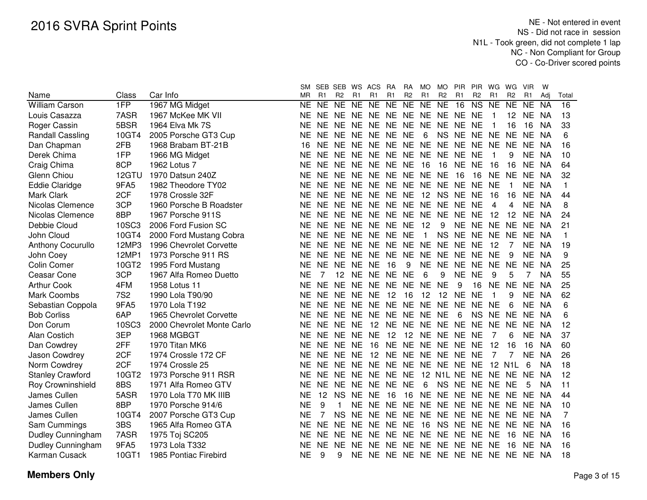|                          |            |                            | SM        |                | SEB SEB WS ACS |           |                                  | <b>RA</b> | RA             | MO             | MO.             | <b>PIR</b>        | <b>PIR</b>             | WG             | WG              | <b>VIR</b>     | W         |              |
|--------------------------|------------|----------------------------|-----------|----------------|----------------|-----------|----------------------------------|-----------|----------------|----------------|-----------------|-------------------|------------------------|----------------|-----------------|----------------|-----------|--------------|
| Name                     | Class      | Car Info                   | MR.       | R1             | R <sub>2</sub> | R1        | R <sub>1</sub>                   | R1        | R <sub>2</sub> | R <sub>1</sub> | R <sub>2</sub>  | R1                | R <sub>2</sub>         | R1             | R <sub>2</sub>  | R <sub>1</sub> | Adi       | Total        |
| <b>William Carson</b>    | 1FP        | 1967 MG Midget             | <b>NE</b> | <b>NE</b>      | NE NE          |           | <b>NE</b>                        | NE NE     |                | <b>NE</b>      | <b>NE</b>       | 16                | $\overline{\text{NS}}$ | <b>NE</b>      | <b>NE</b>       | <b>NE</b>      | <b>NA</b> | 16           |
| Louis Casazza            | 7ASR       | 1967 McKee MK VII          | NE        | <b>NE</b>      | NE NE          |           | <b>NE</b>                        | NE NE     |                | <b>NE</b>      | NE NE           |                   | <b>NE</b>              |                | 12 <sub>2</sub> | NE.            | <b>NA</b> | 13           |
| Roger Cassin             | 5BSR       | 1964 Elva Mk 7S            | ΝF        | <b>NE</b>      | NE NE          |           | <b>NE</b>                        | NE NE     |                | <b>NE</b>      | NE NE           |                   | <b>NE</b>              |                | 16              | 16             | <b>NA</b> | 33           |
| <b>Randall Cassling</b>  | 10GT4      | 2005 Porsche GT3 Cup       | NE        | <b>NE</b>      | NE NE          |           | <b>NE</b>                        | NE NE     |                | 6              | NS NE           |                   | <b>NE</b>              | <b>NE</b>      | <b>NE</b>       | NE             | <b>NA</b> | 6            |
| Dan Chapman              | 2FB        | 1968 Brabam BT-21B         | 16        | <b>NE</b>      | NE NE          |           | <b>NE</b>                        | NE NE     |                | <b>NE</b>      | NE NE           |                   | <b>NE</b>              | NE NE          |                 | <b>NE</b>      | <b>NA</b> | 16           |
| Derek Chima              | 1FP        | 1966 MG Midget             | <b>NE</b> | <b>NE</b>      | NE NE          |           | <b>NE</b>                        | NE NE     |                | <b>NE</b>      | NE NE           |                   | <b>NE</b>              | 1              | 9               | <b>NE</b>      | <b>NA</b> | 10           |
| Craig Chima              | 8CP        | 1962 Lotus 7               | <b>NE</b> | <b>NE</b>      | NE NE          |           | <b>NE</b>                        | NE NE     |                | 16             | 16              | <b>NE</b>         | <b>NE</b>              | 16             | 16              | <b>NE</b>      | <b>NA</b> | 64           |
| Glenn Chiou              | 12GTU      | 1970 Datsun 240Z           | <b>NE</b> | <b>NE</b>      | NE NE          |           | <b>NE</b>                        | NE NE     |                | <b>NE</b>      | <b>NE</b>       | 16                | 16                     | <b>NE</b>      | <b>NE</b>       | <b>NE</b>      | <b>NA</b> | 32           |
| <b>Eddie Claridge</b>    | 9FA5       | 1982 Theodore TY02         | <b>NE</b> | <b>NE</b>      | NE NE          |           | <b>NE</b>                        | NE NE     |                | <b>NE</b>      | NE NE           |                   | <b>NE</b>              | <b>NE</b>      | -1              | <b>NE</b>      | <b>NA</b> | $\mathbf{1}$ |
| Mark Clark               | 2CF        | 1978 Crossle 32F           | <b>NE</b> | <b>NE</b>      | NE NE          |           | <b>NE</b>                        | NE NE     |                | 12             | NS NE           |                   | <b>NE</b>              | 16             | 16              | <b>NE</b>      | <b>NA</b> | 44           |
| Nicolas Clemence         | 3CP        | 1960 Porsche B Roadster    | <b>NE</b> | <b>NE</b>      | NE NE          |           | <b>NE</b>                        | NE NE NE  |                |                | NE NE           |                   | <b>NE</b>              | 4              | 4               | <b>NE</b>      | <b>NA</b> | 8            |
| Nicolas Clemence         | 8BP        | 1967 Porsche 911S          | <b>NE</b> | NE.            | NE.            | NE        | NE.                              | NE NE NE  |                |                | NE NE           |                   | <b>NE</b>              | 12             | 12              | NE.            | <b>NA</b> | 24           |
| Debbie Cloud             | 10SC3      | 2006 Ford Fusion SC        | NE        | <b>NE</b>      | NE NE NE       |           |                                  | NE NE     |                | 12             | 9               | NE NE             |                        | <b>NE</b>      | NE.             | NE.            | NA        | 21           |
| John Cloud               | 10GT4      | 2000 Ford Mustang Cobra    | ΝE        | <b>NE</b>      | NE NE NE       |           |                                  | NE NE     |                | $\mathbf{1}$   | <b>NS</b>       | NE NE             |                        | NE NE          |                 | NE.            | NA        | 1            |
| <b>Anthony Cocurullo</b> | 12MP3      | 1996 Chevrolet Corvette    | <b>NE</b> | <b>NE</b>      |                |           | NE NE NE NE NE NE                |           |                |                | NE NE           |                   | <b>NE</b>              | 12             | 7               | <b>NE</b>      | NA        | 19           |
| John Coey                | 12MP1      | 1973 Porsche 911 RS        | <b>NE</b> | <b>NE</b>      | NE NE          |           | <b>NE</b>                        | NE NE NE  |                |                | NE NE           |                   | <b>NE</b>              | <b>NE</b>      | 9               | <b>NE</b>      | NA        | 9            |
| <b>Colin Comer</b>       | 10GT2      | 1995 Ford Mustang          | <b>NE</b> | <b>NE</b>      | <b>NE</b>      | <b>NE</b> | <b>NE</b>                        | 16        | 9              | <b>NE</b>      | NE NE           |                   | <b>NE</b>              | NE NE          |                 | <b>NE</b>      | <b>NA</b> | 25           |
| Ceasar Cone              | 3CP        | 1967 Alfa Romeo Duetto     | <b>NE</b> | 7              | 12             | <b>NE</b> | NE NE NE                         |           |                | 6              | 9               | <b>NE</b>         | <b>NE</b>              | 9              | 5               | 7              | NA        | 55           |
| <b>Arthur Cook</b>       | 4FM        | 1958 Lotus 11              | <b>NE</b> | <b>NE</b>      | NE NE          |           | NE NE NE                         |           |                | <b>NE</b>      | <b>NE</b>       | 9                 | 16                     | NE NE          |                 | <b>NE</b>      | <b>NA</b> | 25           |
| <b>Mark Coombs</b>       | <b>7S2</b> | 1990 Lola T90/90           | <b>NE</b> | NE.            | NE NE          |           | <b>NE</b>                        | 12        | 16             | 12             | 12 <sup>2</sup> | <b>NE</b>         | <b>NE</b>              | -1             | 9               | <b>NE</b>      | <b>NA</b> | 62           |
| Sebastian Coppola        | 9FA5       | 1970 Lola T192             | <b>NE</b> | NE.            | NE NE          |           | NE NE NE NE                      |           |                |                | NE NE           |                   | NE.                    | <b>NE</b>      | 6               | NE.            | <b>NA</b> | 6            |
| <b>Bob Corliss</b>       | 6AP        | 1965 Chevrolet Corvette    | <b>NE</b> | NE.            | NE NE          |           | <b>NE</b>                        | NE NE     |                | <b>NE</b>      | <b>NE</b>       | 6                 | NS.                    | NE NE          |                 | NE.            | <b>NA</b> | 6            |
| Don Corum                | 10SC3      | 2000 Chevrolet Monte Carlo | ΝE        | <b>NE</b>      | NE NE          |           | 12                               |           |                |                | NE NE NE NE NE  |                   | <b>NE</b>              | NE NE          |                 | <b>NE</b>      | NA        | 12           |
| Alan Costich             | 3EP        | 1968 MGBGT                 | ΝE        | <b>NE</b>      | NE NE          |           | <b>NE</b>                        | 12        | 12             | <b>NE</b>      | NE NE           |                   | <b>NE</b>              | 7              | 6               | <b>NE</b>      | NA        | 37           |
| Dan Cowdrey              | 2FF        | 1970 Titan MK6             | ΝE        | NE.            | NE NE          |           | 16                               |           | NE NE NE       |                | NE NE           |                   | <b>NE</b>              | 12             | 16              | 16             | <b>NA</b> | 60           |
| Jason Cowdrey            | 2CF        | 1974 Crossle 172 CF        | <b>NE</b> | NE.            | NE NE          |           | 12                               |           |                |                |                 | NE NE NE NE NE NE |                        | $\overline{7}$ | 7               | <b>NE</b>      | <b>NA</b> | 26           |
| Norm Cowdrey             | 2CF        | 1974 Crossle 25            | <b>NE</b> | <b>NE</b>      | NE NE NE       |           |                                  |           |                |                |                 | NE NE NE NE NE NE |                        |                | 12 N1L          | 6              | <b>NA</b> | 18           |
| <b>Stanley Crawford</b>  | 10GT2      | 1973 Porsche 911 RSR       | <b>NE</b> | <b>NE</b>      |                |           | NE NE NE NE NE                   |           |                |                |                 | 12 N1L NE NE      |                        |                | NE NE NE        |                | <b>NA</b> | 12           |
| <b>Roy Crowninshield</b> | 8BS        | 1971 Alfa Romeo GTV        | NE        | NE.            |                |           | NE NE NE NE NE                   |           |                | 6              |                 | NS NE NE NE NE    |                        |                |                 | 5              | <b>NA</b> | 11           |
| James Cullen             | 5ASR       | 1970 Lola T70 MK IIIB      | NE        | 12             |                | NS NE NE  |                                  | 16        | 16             | NE.            |                 | NE NE NE NE NE NE |                        |                |                 |                | <b>NA</b> | 44           |
| James Cullen             | 8BP        | 1970 Porsche 914/6         | NE        | 9              | 1              | NE.       | NE.                              | NE NE NE  |                |                |                 | NE NE NE          |                        | NE NE          |                 | NE.            | <b>NA</b> | 10           |
| James Cullen             | 10GT4      | 2007 Porsche GT3 Cup       | ΝF        | $\overline{7}$ | NS NE          |           | NE.                              | NE NE     |                | <b>NE</b>      | NE NE           |                   | <b>NE</b>              | NE NE          |                 | NE.            | NA        | 7            |
| Sam Cummings             | 3BS        | 1965 Alfa Romeo GTA        | ΝE        | <b>NE</b>      | <b>NE</b>      | <b>NE</b> | <b>NE</b>                        | NE NE     |                | 16             | NS NE           |                   | <b>NE</b>              | NE NE          |                 | NE             | NA.       | 16           |
| Dudley Cunningham        | 7ASR       | 1975 Toj SC205             | NE        | <b>NE</b>      | NE NE          |           | <b>NE</b>                        | NE NE NE  |                |                | NE NE           |                   | NE.                    | <b>NE</b>      | 16              | NE.            | NA        | 16           |
| Dudley Cunningham        | 9FA5       | 1973 Lola T332             | ΝE        | <b>NE</b>      | NE NE          |           | NE.                              | NE NE     |                | <b>NE</b>      | NE NE           |                   | NE.                    | NE.            | 16              | NE.            | NA        | 16           |
| Karman Cusack            | 10GT1      | 1985 Pontiac Firebird      | <b>NE</b> | 9              | 9              | NE.       | NE NE NE NE NE NE NE NE NE NE NA |           |                |                |                 |                   |                        |                |                 |                |           | 18           |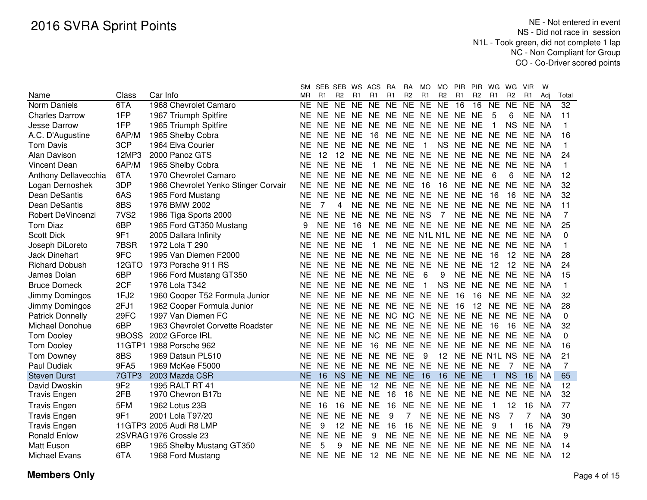|                         |                  |                                      | SM        |           | SEB SEB WS ACS |           |                                           | <b>RA</b> | <b>RA</b>      | MO           | MO.            | <b>PIR</b>              | <b>PIR</b>     | WG           | WG             | <b>VIR</b> | W         |                 |
|-------------------------|------------------|--------------------------------------|-----------|-----------|----------------|-----------|-------------------------------------------|-----------|----------------|--------------|----------------|-------------------------|----------------|--------------|----------------|------------|-----------|-----------------|
| Name                    | Class            | Car Info                             | <b>MR</b> | R1        | R <sub>2</sub> | R1        | R <sub>1</sub>                            | R1        | R <sub>2</sub> | R1           | R <sub>2</sub> | R <sub>1</sub>          | R <sub>2</sub> | R1           | R <sub>2</sub> | R1         | Adi       | Total           |
| Norm Daniels            | 6TA              | 1968 Chevrolet Camaro                | NE        | NE        | NE NE          |           | N <sub>E</sub>                            | NE        | NE             | <b>NE</b>    | <b>NE</b>      | 16                      | 16             | <b>NE</b>    | <b>NE</b>      | <b>NE</b>  | <b>NA</b> | $\overline{32}$ |
| <b>Charles Darrow</b>   | 1FP              | 1967 Triumph Spitfire                | NE        | <b>NE</b> | NE NE          |           | <b>NE</b>                                 |           |                |              | NE NE NE NE NE |                         | <b>NE</b>      | 5            | 6              | NE.        | NA        | 11              |
| Jesse Darrow            | 1FP              | 1965 Triumph Spitfire                | NE        | <b>NE</b> | NE NE          |           | <b>NE</b>                                 | NE NE     |                |              | NE NE NE       |                         | <b>NE</b>      |              | <b>NS</b>      | NE NA      |           | 1               |
| A.C. D'Augustine        | 6AP/M            | 1965 Shelby Cobra                    | NE.       | NE.       | NE NE          |           | 16                                        |           |                |              |                | NE NE NE NE NE NE NE NE |                |              |                | NE         | NA        | 16              |
| <b>Tom Davis</b>        | 3CP              | 1964 Elva Courier                    | ΝE        | <b>NE</b> | NE NE          |           | NE NE NE                                  |           |                | 1            |                | NS NE NE NE NE          |                |              |                | NE NA      |           | 1               |
| Alan Davison            | 12MP3            | 2000 Panoz GTS                       | ΝE        | 12        | 12 NE          |           | <b>NE</b>                                 |           |                |              |                | NE NE NE NE NE NE       |                | <b>NE</b>    | <b>NE</b>      | NE         | NA        | 24              |
| <b>Vincent Dean</b>     | 6AP/M            | 1965 Shelby Cobra                    | <b>NE</b> | <b>NE</b> | NE NE          |           | 1                                         |           |                |              |                | NE NE NE NE NE NE       |                | <b>NE</b>    | <b>NE</b>      | NE.        | <b>NA</b> | 1               |
| Anthony Dellavecchia    | 6TA              | 1970 Chevrolet Camaro                | <b>NE</b> | <b>NE</b> | NE NE          |           | <b>NE</b>                                 | NE NE     |                |              | NE NE NE       |                         | <b>NE</b>      | 6            | 6              | NE NA      |           | 12              |
| Logan Dernoshek         | 3DP              | 1966 Chevrolet Yenko Stinger Corvair | <b>NE</b> | <b>NE</b> | NE NE          |           | <b>NE</b>                                 | NE.       | <b>NE</b>      | 16           | 16             | <b>NE</b>               | <b>NE</b>      | <b>NE</b>    | <b>NE</b>      | <b>NE</b>  | NA        | 32              |
| Dean DeSantis           | 6AS              | 1965 Ford Mustang                    | <b>NE</b> | <b>NE</b> | NE NE          |           | <b>NE</b>                                 |           |                |              | NE NE NE NE NE |                         | <b>NE</b>      | 16           | 16             | NE.        | - NA      | 32              |
| Dean DeSantis           | 8BS              | 1976 BMW 2002                        | <b>NE</b> | 7         | 4              | <b>NE</b> | <b>NE</b>                                 |           |                |              | NE NE NE NE NE |                         | NE NE          |              | <b>NE</b>      | NE NA      |           | 11              |
| Robert DeVincenzi       | 7VS <sub>2</sub> | 1986 Tiga Sports 2000                | <b>NE</b> | <b>NE</b> | <b>NE</b>      |           | NE NE NE                                  |           | NE NS          |              | $\overline{7}$ | <b>NE</b>               | NE NE          |              | <b>NE</b>      | NE NA      |           | 7               |
| <b>Tom Diaz</b>         | 6BP              | 1965 Ford GT350 Mustang              | 9         | <b>NE</b> | <b>NE</b>      | 16        | NE.                                       |           |                |              |                | NE NE NE NE NE NE NE    |                |              | <b>NE</b>      | NE NA      |           | 25              |
| <b>Scott Dick</b>       | 9F1              | 2005 Dallara Infinity                | <b>NE</b> | <b>NE</b> | <b>NE</b>      | <b>NE</b> | <b>NE</b>                                 | <b>NE</b> |                |              |                | NE N1L N1L NE NE NE NE  |                |              |                | NE NA      |           | 0               |
| Joseph DiLoreto         | 7BSR             | 1972 Lola T 290                      | NE.       | <b>NE</b> | <b>NE</b>      | <b>NE</b> | $\mathbf{1}$                              | <b>NE</b> |                |              | NE NE NE NE    |                         |                | NE NE NE     |                | NE NA      |           | 1               |
| <b>Jack Dinehart</b>    | 9FC              | 1995 Van Diemen F2000                | <b>NE</b> | <b>NE</b> | NE NE          |           | <b>NE</b>                                 |           |                |              | NE NE NE NE NE |                         | <b>NE</b>      | 16           | 12             | NE NA      |           | 28              |
| <b>Richard Dobush</b>   | 12GTO            | 1973 Porsche 911 RS                  | NE        | <b>NE</b> | NE NE          |           | NE NE NE                                  |           |                |              | NE NE NE       |                         | <b>NE</b>      | 12           | 12             | NE         | -NA       | 24              |
| James Dolan             | 6BP              | 1966 Ford Mustang GT350              | NE        | <b>NE</b> |                |           | NE NE NE NE NE                            |           |                | 6            | 9              |                         |                | NE NE NE NE  |                | NE NA      |           | 15              |
| <b>Bruce Domeck</b>     | 2CF              | 1976 Lola T342                       | <b>NE</b> | <b>NE</b> |                |           | NE NE NE NE NE                            |           |                | $\mathbf{1}$ | <b>NS</b>      | NE NE                   |                | NE NE        |                | NE NA      |           | 1               |
| Jimmy Domingos          | 1FJ2             | 1960 Cooper T52 Formula Junior       | NE        | <b>NE</b> |                |           | NE NE NE NE NE NE NE                      |           |                |              |                | 16                      | 16             | <b>NE</b>    | <b>NE</b>      | NE NA      |           | 32              |
| Jimmy Domingos          | 2FJ1             | 1962 Cooper Formula Junior           | <b>NE</b> | NE.       |                |           | NE NE NE NE NE NE NE                      |           |                |              |                | 16                      | 12             | NE NE        |                | NE NA      |           | 28              |
| <b>Patrick Donnelly</b> | 29FC             | 1997 Van Diemen FC                   | <b>NE</b> | NE.       |                |           | NE NE NE NC NC NE NE NE NE                |           |                |              |                |                         |                | NE NE        |                | NE NA      |           | 0               |
| Michael Donohue         | 6BP              | 1963 Chevrolet Corvette Roadster     | <b>NE</b> | <b>NE</b> |                |           | NE NE NE NE NE NE NE NE NE                |           |                |              |                |                         |                | 16           | 16             | NE NA      |           | 32              |
| <b>Tom Dooley</b>       | 9BOSS            | 2002 GForce IRL                      | <b>NE</b> | <b>NE</b> | NE NE NC       |           |                                           |           |                |              |                | NE NE NE NE NE NE NE    |                |              | <b>NE</b>      | NE NA      |           | $\Omega$        |
| <b>Tom Dooley</b>       |                  | 11GTP1 1988 Porsche 962              | NE        | <b>NE</b> | NE NE          |           | 16                                        | <b>NE</b> |                |              |                | NE NE NE NE NE NE NE    |                |              |                | NE NA      |           | 16              |
| <b>Tom Downey</b>       | 8BS              | 1969 Datsun PL510                    | NE        | <b>NE</b> | NE NE          |           | NE NE NE                                  |           |                | 9            |                | 12 NE NE N1L NS         |                |              |                | NE.        | NA        | 21              |
| Paul Dudiak             | 9FA5             | 1969 McKee F5000                     | ΝE        | <b>NE</b> |                |           | NE NE NE NE NE NE NE NE NE NE             |           |                |              |                |                         |                |              | 7              | NE NA      |           | 7               |
| <b>Steven Durst</b>     | 7GTP3            | 2003 Mazda CSR                       | <b>NE</b> | 16        |                |           | NS NE NE NE NE 16                         |           |                |              | 16             | NE NE                   |                | $\mathbf{1}$ | <b>NS</b>      | 16 NA      |           | 65              |
| David Dwoskin           | 9F <sub>2</sub>  | 1995 RALT RT 41                      | NE.       | <b>NE</b> | NE NE          |           | 12                                        |           | NE NE NE       |              |                | NE NE NE                |                | NE.          | <b>NE</b>      | NE.        | -NA       | 12              |
| Travis Engen            | 2FB              | 1970 Chevron B17b                    | NE.       | NE.       | NE NE          |           | NE                                        | 16        | 16             |              |                | NE NE NE NE NE NE       |                |              |                | NE.        | <b>NA</b> | 32              |
| <b>Travis Engen</b>     | 5FM              | 1962 Lotus 23B                       | NE        | 16        | 16             | NE.       | <b>NE</b>                                 | 16        | NE             |              |                | NE NE NE NE             |                | 1            | 12             | 16         | <b>NA</b> | 77              |
| <b>Travis Engen</b>     | 9F1              | 2001 Lola T97/20                     | NE.       | <b>NE</b> | NE NE          |           | <b>NE</b>                                 | 9         | $\overline{7}$ |              |                | NE NE NE NE             |                | <b>NS</b>    | 7              | 7          | <b>NA</b> | 30              |
| <b>Travis Engen</b>     |                  | 11GTP3 2005 Audi R8 LMP              | ΝE        | 9         |                | 12 NE     | <b>NE</b>                                 | 16        | 16             |              | NE NE NE       |                         | <b>NE</b>      | 9            |                | 16         | <b>NA</b> | 79              |
| <b>Ronald Enlow</b>     |                  | 2SVRAG 1976 Crossle 23               | NE        | <b>NE</b> | NE NE          |           | 9                                         | NE NE     |                |              | NE NE NE       |                         |                | NE NE NE     |                | NE.        | NA.       | 9               |
| <b>Matt Euson</b>       | 6BP              | 1965 Shelby Mustang GT350            | <b>NE</b> | 5         | 9              | <b>NE</b> | <b>NE</b>                                 |           |                |              |                | NE NE NE NE NE NE NE NE |                |              |                | NE NA      |           | 14              |
| Michael Evans           | 6TA              | 1968 Ford Mustang                    | NE.       |           |                |           | NE NE NE 12 NE NE NE NE NE NE NE NE NE NA |           |                |              |                |                         |                |              |                |            |           | 12              |
|                         |                  |                                      |           |           |                |           |                                           |           |                |              |                |                         |                |              |                |            |           |                 |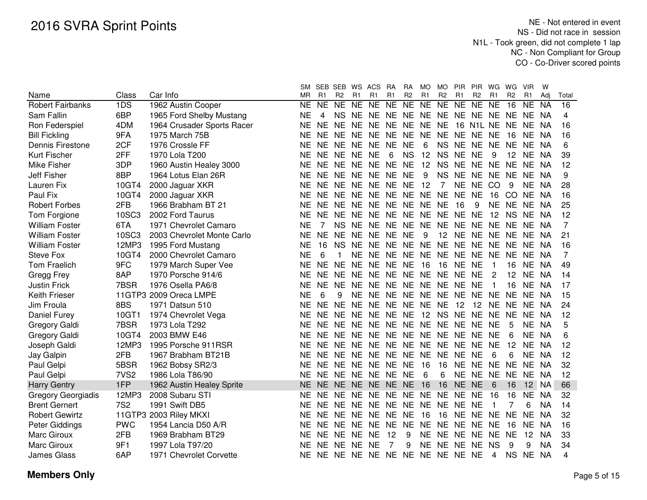|                           |                  |                            | SM.       | SEB SEB WS             |                |           | ACS                                 | RA             | RA             | MO        | <b>MO</b>      | PIR            | <b>PIR</b>         | WG.            | WG             | <b>VIR</b>     | W         |                 |
|---------------------------|------------------|----------------------------|-----------|------------------------|----------------|-----------|-------------------------------------|----------------|----------------|-----------|----------------|----------------|--------------------|----------------|----------------|----------------|-----------|-----------------|
| Name                      | Class            | Car Info                   | MR        | R <sub>1</sub>         | R <sub>2</sub> | R1        | R <sub>1</sub>                      | R <sub>1</sub> | R <sub>2</sub> | R1        | R <sub>2</sub> | R <sub>1</sub> | R <sub>2</sub>     | R <sub>1</sub> | R <sub>2</sub> | R <sub>1</sub> | Adj       | Total           |
| <b>Robert Fairbanks</b>   | 1DS              | 1962 Austin Cooper         | NE        | $\overline{\text{NE}}$ | NE             | NE        | $\overline{NE}$                     | NE             | $N_{E}$        | $N_{E}$   | NE             | $N_{E}$        | $N_{E}$            | N <sub>E</sub> | 16             | <b>NE</b>      | <b>NA</b> | $\overline{16}$ |
| Sam Fallin                | 6BP              | 1965 Ford Shelby Mustang   | NE        | 4                      | <b>NS</b>      |           | NE NE NE NE NE NE NE NE NE NE NE NA |                |                |           |                |                |                    |                |                |                |           | 4               |
| Ron Federspiel            | 4DM              | 1964 Crusader Sports Racer | NE        |                        |                |           | NE NE NE NE NE NE NE NE             |                |                |           |                |                | 16 N1L NE NE NE NA |                |                |                |           | 16              |
| <b>Bill Fickling</b>      | 9FA              | 1975 March 75B             | NE        |                        |                |           | NE NE NE NE NE NE NE                |                |                |           |                | NE NE NE NE    |                    |                | 16             | NE.            | NA        | 16              |
| Dennis Firestone          | 2CF              | 1976 Crossle FF            | ΝE        |                        |                |           | NE NE NE NE NE NE                   |                |                | 6         | <b>NS</b>      | NE NE          |                    | NE.            | NE             | - NE           | NA        | 6               |
| Kurt Fischer              | 2FF              | 1970 Lola T200             | NE        |                        | NE NE NE NE    |           |                                     | 6              | <b>NS</b>      | 12        | <b>NS</b>      | <b>NE</b>      | <b>NE</b>          | 9              | 12             | <b>NE</b>      | NA        | 39              |
| Mike Fisher               | 3DP              | 1960 Austin Healey 3000    | NE        |                        | NE NE NE       |           | NE NE NE                            |                |                | 12        | <b>NS</b>      | <b>NE</b>      | NE NE              |                | <b>NE</b>      | NE NA          |           | 12              |
| Jeff Fisher               | 8BP              | 1964 Lotus Elan 26R        | NE        | NE.                    | NE NE          |           | NE NE NE                            |                |                | 9         | <b>NS</b>      | NE.            | NE.                | NE NE          |                | NE NA          |           | 9               |
| Lauren Fix                | 10GT4            | 2000 Jaguar XKR            | ΝE        | NE.                    |                |           | NE NE NE NE NE                      |                |                | 12        | 7              | <b>NE</b>      | NE CO              |                | 9              | NE NA          |           | 28              |
| Paul Fix                  | 10GT4            | 2000 Jaguar XKR            | ΝE        | NE.                    |                |           | NE NE NE NE NE NE                   |                |                |           | NE NE          |                | <b>NE</b>          | 16             | <sub>CO</sub>  | NE NA          |           | 16              |
| <b>Robert Forbes</b>      | 2FB              | 1966 Brabham BT 21         | ΝE        | <b>NE</b>              | NE NE          |           | NE NE NE NE NE                      |                |                |           |                | 16             | 9                  | <b>NE</b>      | <b>NE</b>      | NE NA          |           | 25              |
| Tom Forgione              | <b>10SC3</b>     | 2002 Ford Taurus           | NE        | NE.                    | NE.            | NE.       | NE NE                               |                | NE             | NE NE     |                | NE             | <b>NE</b>          | 12             | <b>NS</b>      | NE.            | NA        | 12              |
| <b>William Foster</b>     | 6TA              | 1971 Chevrolet Camaro      | NE        |                        | NS.            | <b>NE</b> | NE NE                               |                | <b>NE</b>      | <b>NE</b> | <b>NE</b>      | <b>NE</b>      | <b>NE</b>          | NE             | <b>NE</b>      | NE NA          |           | 7               |
| <b>William Foster</b>     | <b>10SC3</b>     | 2003 Chevrolet Monte Carlo | NE        | <b>NE</b>              | <b>NE</b>      | <b>NE</b> | NE NE                               |                | <b>NE</b>      | 9         | 12             | <b>NE</b>      | NE NE              |                | <b>NE</b>      | NE NA          |           | 21              |
| <b>William Foster</b>     | 12MP3            | 1995 Ford Mustang          | <b>NE</b> | 16                     | <b>NS</b>      | <b>NE</b> | NE NE NE NE NE NE                   |                |                |           |                |                | NE NE              |                | <b>NE</b>      | NE.            | - NA      | 16              |
| Steve Fox                 | 10GT4            | 2000 Chevrolet Camaro      | <b>NE</b> | 6                      |                | NE        | NE NE NE NE NE NE                   |                |                |           |                |                | NE NE              |                | <b>NE</b>      | NE NA          |           | 7               |
| <b>Tom Fraelich</b>       | 9FC              | 1979 March Super Vee       | NE        | <b>NE</b>              | NF.            | <b>NE</b> | NE NE NE                            |                |                | 16        | 16             | <b>NE</b>      | <b>NE</b>          |                | 16             | <b>NE</b>      | - NA      | 49              |
| Gregg Frey                | 8AP              | 1970 Porsche 914/6         | ΝE        | NE.                    | NE             | <b>NE</b> | NE NE                               |                |                |           | NE NE NE NE    |                | <b>NE</b>          | 2              | 12             | NE.            | NA        | 14              |
| <b>Justin Frick</b>       | 7BSR             | 1976 Osella PA6/8          | ΝE        | NE NE                  |                | <b>NE</b> | NE NE                               |                |                |           | NE NE NE NE    |                | <b>NE</b>          | $\mathbf{1}$   | 16             | NE NA          |           | 17              |
| <b>Keith Frieser</b>      |                  | 11GTP3 2009 Oreca LMPE     | <b>NE</b> | 6                      | 9              | <b>NE</b> | NE NE NE                            |                |                |           | NE NE NE       |                | <b>NE</b>          | <b>NE</b>      | <b>NE</b>      | NE NA          |           | 15              |
| Jim Froula                | 8BS              | 1971 Datsun 510            | <b>NE</b> | <b>NE</b>              | <b>NE</b>      | NE.       | NE NE NE                            |                |                | NE NE     |                | 12             | 12                 | <b>NE</b>      | NE             | NE NA          |           | 24              |
| Daniel Furey              | 10GT1            | 1974 Chevrolet Vega        | ΝE        | NE.                    | NE.            | <b>NE</b> | NE NE NE                            |                |                | 12        | <b>NS</b>      | <b>NE</b>      | NE                 | <b>NE</b>      | <b>NE</b>      | NE NA          |           | 12              |
| Gregory Galdi             | 7BSR             | 1973 Lola T292             | ΝE        | NE                     |                |           | NE NE NE NE NE NE NE NE             |                |                |           |                |                | NE                 | <b>NE</b>      | 5              | NE NA          |           | 5               |
| Gregory Galdi             | 10GT4            | 2003 BMW E46               | ΝE        | <b>NE</b>              |                |           | NE NE NE NE NE NE NE NE             |                |                |           |                |                | NE NE              |                | 6              | NE NA          |           | 6               |
| Joseph Galdi              | 12MP3            | 1995 Porsche 911RSR        | <b>NE</b> | NE.                    |                |           | NE NE NE NE NE NE NE NE             |                |                |           |                |                | NE.                | <b>NE</b>      | 12             | NE.            | <b>NA</b> | 12              |
| Jay Galpin                | 2FB              | 1967 Brabham BT21B         | NE        |                        |                |           | NE NE NE NE NE NE                   |                |                | NE        | <b>NE</b>      | <b>NE</b>      | NE                 | 6              | 6              | NE NA          |           | 12              |
| Paul Gelpi                | 5BSR             | 1962 Bobsy SR2/3           | ΝE        |                        | NE NE NE       |           | NE NE NE                            |                |                | -16       | 16             | NE NE NE       |                    |                | <b>NE</b>      | NE             | NA        | 32              |
| Paul Gelpi                | 7VS <sub>2</sub> | 1986 Lola T86/90           | ΝE        |                        | NE NE NE       |           | NE NE NE                            |                |                | 6         | 6              |                | NE NE NE           |                | <b>NE</b>      | NE NA          |           | 12              |
| <b>Harry Gentry</b>       | 1FP              | 1962 Austin Healey Sprite  |           |                        |                |           | NE NE NE NE NE NE NE 16             |                |                |           | 16             | NE NE          |                    | 6              | 16             |                | 12 NA     | 66              |
| <b>Gregory Georgiadis</b> | 12MP3            | 2008 Subaru STI            | NE        |                        |                |           | NE NE NE NE NE NE NE                |                |                |           |                | NE NE NE       |                    | 16             | 16             | NE.            | NA        | 32              |
| <b>Brent Gernert</b>      | <b>7S2</b>       | 1991 Swift DB5             | NE        |                        |                |           | NE NE NE NE NE NE NE NE NE NE       |                |                |           |                |                |                    | 1              | 7              | 6              | <b>NA</b> | 14              |
| <b>Robert Gewirtz</b>     |                  | 11GTP3 2003 Riley MKXI     | NE        | NE.                    |                |           | NE NE NE NE NE                      |                |                | -16       | 16             | NE NE          |                    | NE.            | <b>NE</b>      | NE             | <b>NA</b> | 32              |
| Peter Giddings            | <b>PWC</b>       | 1954 Lancia D50 A/R        | NE        | NE.                    | NE NE          |           | <b>NE</b>                           | NE NE          |                | <b>NE</b> | NE NE          |                | NE.                | NE.            | 16             | <b>NE</b>      | <b>NA</b> | 16              |
| <b>Marc Giroux</b>        | 2FB              | 1969 Brabham BT29          | NE        |                        | NE NE NE       |           | <b>NE</b>                           | 12             | 9              | NE.       | NE NE          |                | <b>NE</b>          | NE.            | <b>NE</b>      | 12             | NA.       | 33              |
| Marc Giroux               | 9F1              | 1997 Lola T97/20           | ΝE        | NE.                    | NE NE          |           | NE                                  |                | 9              | NE        | NE NE          |                | NE.                | <b>NS</b>      | 9              | 9              | <b>NA</b> | 34              |
| <b>James Glass</b>        | 6AP              | 1971 Chevrolet Corvette    | ΝE        |                        |                |           | NE NE NE NE NE NE NE NE NE NE       |                |                |           |                |                |                    | 4              | <b>NS</b>      | NE NA          |           | 4               |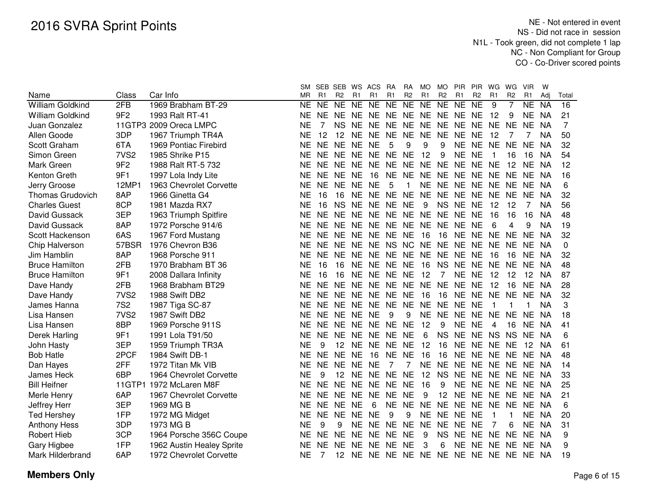|                         |                  |                           | SM        |                | SEB SEB WS      |           | ACS                              | <b>RA</b> | <b>RA</b>      | <b>MO</b> | <b>MO</b>      | <b>PIR</b>     | <b>PIR</b>     | WG        | WG             | <b>VIR</b>        | W         |                 |
|-------------------------|------------------|---------------------------|-----------|----------------|-----------------|-----------|----------------------------------|-----------|----------------|-----------|----------------|----------------|----------------|-----------|----------------|-------------------|-----------|-----------------|
| Name                    | Class            | Car Info                  | MR        | R <sub>1</sub> | R <sub>2</sub>  | R1        | R <sub>1</sub>                   | R1        | R <sub>2</sub> | R1        | R <sub>2</sub> | R <sub>1</sub> | R <sub>2</sub> | R1        | R <sub>2</sub> | R1                | Adi       | Total           |
| <b>William Goldkind</b> | 2FB              | 1969 Brabham BT-29        | <b>NE</b> | NE             | NE              | NE        | N <sub>E</sub>                   | NE        | NE             | NE        | NE             | NE             | N <sub>E</sub> | 9         |                | <b>NE</b>         | <b>NA</b> | $\overline{16}$ |
| William Goldkind        | 9F <sub>2</sub>  | 1993 Ralt RT-41           | ΝE        | NE.            | NE.             | NE        | NE NE NE                         |           |                | NE NE     |                | <b>NE</b>      | <b>NE</b>      | 12        | 9              | NE                | NA        | 21              |
| Juan Gonzalez           |                  | 11GTP3 2009 Oreca LMPC    | ΝE        | 7              | <b>NS</b>       | NE.       | NE NE NE                         |           |                | <b>NE</b> | <b>NE</b>      | NE             | NE NE          |           | <b>NE</b>      | <b>NE</b>         | <b>NA</b> | 7               |
| Allen Goode             | 3DP              | 1967 Triumph TR4A         | <b>NE</b> | 12             | 12 <sup>7</sup> | <b>NE</b> | NE NE NE                         |           |                | <b>NE</b> | <b>NE</b>      | NE NE          |                | 12        |                | 7                 | <b>NA</b> | 50              |
| Scott Graham            | 6TA              | 1969 Pontiac Firebird     | <b>NE</b> | <b>NE</b>      | NE NE NE        |           |                                  | 5         | 9              | 9         | 9              |                | NE NE NE       |           | <b>NE</b>      | <b>NE</b>         | <b>NA</b> | 32              |
| Simon Green             | 7VS <sub>2</sub> | 1985 Shrike P15           | <b>NE</b> | <b>NE</b>      |                 |           | NE NE NE NE NE                   |           |                | 12        | 9              | <b>NE</b>      | <b>NE</b>      |           | 16             | 16                | <b>NA</b> | 54              |
| Mark Green              | 9F <sub>2</sub>  | 1988 Ralt RT-5 732        | <b>NE</b> | NE.            | NE NE           |           | NE.                              | NE NE NE  |                |           | <b>NE</b>      | <b>NE</b>      | NE NE          |           | 12             | NE.               | <b>NA</b> | 12              |
| Kenton Greth            | 9F1              | 1997 Lola Indy Lite       | <b>NE</b> | <b>NE</b>      | NE NE           |           | 16                               | <b>NE</b> | <b>NE</b>      | <b>NE</b> | <b>NE</b>      | <b>NE</b>      | NE NE          |           | <b>NE</b>      | <b>NE</b>         | <b>NA</b> | 16              |
| Jerry Groose            | 12MP1            | 1963 Chevrolet Corvette   | <b>NE</b> | <b>NE</b>      | NE NE           |           | <b>NE</b>                        | 5         | 1              | <b>NE</b> | <b>NE</b>      | <b>NE</b>      | NE NE          |           | <b>NE</b>      | NE NA             |           | 6               |
| <b>Thomas Grudovich</b> | 8AP              | 1966 Ginetta G4           | <b>NE</b> | 16             | 16              | <b>NE</b> | NE NE                            |           | <b>NE</b>      | <b>NE</b> | <b>NE</b>      | <b>NE</b>      | NE NE          |           | <b>NE</b>      | <b>NE</b>         | <b>NA</b> | 32              |
| <b>Charles Guest</b>    | 8CP              | 1981 Mazda RX7            | <b>NE</b> | 16             | <b>NS</b>       | <b>NE</b> | NE NE                            |           | <b>NE</b>      | 9         | <b>NS</b>      | <b>NE</b>      | <b>NE</b>      | 12        | 12             | 7                 | <b>NA</b> | 56              |
| David Gussack           | 3EP              | 1963 Triumph Spitfire     | <b>NE</b> | <b>NE</b>      | <b>NE</b>       | <b>NE</b> | NE NE NE NE                      |           |                |           | <b>NE</b>      | <b>NE</b>      | <b>NE</b>      | 16        | 16             | 16                | <b>NA</b> | 48              |
| David Gussack           | 8AP              | 1972 Porsche 914/6        | <b>NE</b> | <b>NE</b>      | NE NE           |           | NE NE NE NE NE                   |           |                |           |                | <b>NE</b>      | <b>NE</b>      | 6         | 4              | 9                 | <b>NA</b> | 19              |
| Scott Hackenson         | 6AS              | 1967 Ford Mustang         | <b>NE</b> | <b>NE</b>      | <b>NE</b>       | <b>NE</b> | NE NE                            |           | <b>NE</b>      | 16        | 16             | <b>NE</b>      | NE NE          |           | <b>NE</b>      | <b>NE</b>         | <b>NA</b> | 32              |
| Chip Halverson          | 57BSR            | 1976 Chevron B36          | <b>NE</b> | <b>NE</b>      | NE              | NE        | NE NS                            |           | <b>NC</b>      | NE.       | <b>NE</b>      | <b>NE</b>      | <b>NE</b>      | NE        | <b>NE</b>      | NE.               | NA        | 0               |
| Jim Hamblin             | 8AP              | 1968 Porsche 911          | <b>NE</b> | <b>NE</b>      | <b>NE</b>       | NE        | <b>NE</b>                        | <b>NE</b> | <b>NE</b>      | <b>NE</b> | <b>NE</b>      | <b>NE</b>      | <b>NE</b>      | 16        | 16             | NE                | NA        | 32              |
| <b>Bruce Hamilton</b>   | 2FB              | 1970 Brabham BT 36        | <b>NE</b> | 16             | 16              | NE.       | <b>NE</b>                        | <b>NE</b> | <b>NE</b>      | 16        | <b>NS</b>      | <b>NE</b>      | <b>NE</b>      | <b>NE</b> | <b>NE</b>      | <b>NE</b>         | - NA      | 48              |
| <b>Bruce Hamilton</b>   | 9F1              | 2008 Dallara Infinity     | <b>NE</b> | 16             | 16              | <b>NE</b> | NE NE                            |           | <b>NE</b>      | 12        | 7              | <b>NE</b>      | <b>NE</b>      | 12        | 12             | 12                | NA.       | 87              |
| Dave Handy              | 2FB              | 1968 Brabham BT29         | NE        | <b>NE</b>      | <b>NE</b>       | <b>NE</b> | NE NE NE                         |           |                | NE        | <b>NE</b>      | <b>NE</b>      | <b>NE</b>      | 12        | 16             | <b>NE</b>         | NA        | 28              |
| Dave Handy              | 7VS <sub>2</sub> | 1988 Swift DB2            | <b>NE</b> | NE.            |                 |           | NE NE NE NE NE                   |           |                | -16       | 16             |                | NE NE NE       |           | <b>NE</b>      | NE.               | <b>NA</b> | 32              |
| James Hanna             | <b>7S2</b>       | 1987 Tiga SC-87           | <b>NE</b> | NE             |                 |           | NE NE NE NE NE                   |           |                | NE NE     |                | <b>NE</b>      | <b>NE</b>      | 1         | -1             | 1                 | <b>NA</b> | 3               |
| Lisa Hansen             | 7VS <sub>2</sub> | 1987 Swift DB2            | <b>NE</b> | <b>NE</b>      | NE NE NE        |           |                                  | 9         | 9              | NE NE     |                | <b>NE</b>      | NE NE          |           | <b>NE</b>      | <b>NE</b>         | ΝA        | 18              |
| Lisa Hansen             | 8BP              | 1969 Porsche 911S         | <b>NE</b> | NE.            |                 |           | NE NE NE NE NE                   |           |                | 12        | 9              | <b>NE</b>      | <b>NE</b>      | 4         | 16             | <b>NE</b>         | NA        | 41              |
| Derek Harling           | 9F1              | 1991 Lola T91/50          | <b>NE</b> | <b>NE</b>      |                 |           | NE NE NE NE                      |           | <b>NE</b>      | 6         | <b>NS</b>      | NE NE NS       |                |           | <b>NS</b>      | <b>NE</b>         | <b>NA</b> | 6               |
| John Hasty              | 3EP              | 1959 Triumph TR3A         | <b>NE</b> | 9              | 12 <sup>2</sup> |           | NE NE NE                         |           | <b>NE</b>      | 12        | 16             |                | NE NE NE       |           | <b>NE</b>      | 12                | <b>NA</b> | 61              |
| <b>Bob Hatle</b>        | 2PCF             | 1984 Swift DB-1           | NE        | NE.            | <b>NE</b>       | <b>NE</b> | 16                               | NE NE     |                | 16        | 16             |                | NE NE NE       |           | NE.            | NE.               | <b>NA</b> | 48              |
| Dan Hayes               | 2FF              | 1972 Titan Mk VIB         | <b>NE</b> | <b>NE</b>      | NE NE           |           | NE                               | 7         | 7              | <b>NE</b> | <b>NE</b>      | NE NE NE       |                |           | <b>NE</b>      | NE NA             |           | 14              |
| James Heck              | 6BP              | 1964 Chevrolet Corvette   | <b>NE</b> | 9              | 12 NE           |           | NE NE NE                         |           |                | 12        | <b>NS</b>      | NE NE NE NE    |                |           |                | NE NA             |           | 33              |
| <b>Bill Heifner</b>     |                  | 11GTP1 1972 McLaren M8F   | <b>NE</b> | <b>NE</b>      |                 |           | NE NE NE NE NE                   |           |                | 16        | 9              |                |                |           |                | NE NE NE NE NE NA |           | 25              |
| Merle Henry             | 6AP              | 1967 Chevrolet Corvette   | ΝE        | <b>NE</b>      |                 |           | NE NE NE NE NE                   |           |                | 9         | 12             |                | NE NE NE       |           | <b>NE</b>      | NE.               | - NA      | 21              |
| Jeffrey Herr            | 3EP              | 1969 MG B                 | ΝE        | NE.            | NE NE           |           | 6                                | <b>NE</b> | NE NE          |           | <b>NE</b>      | <b>NE</b>      | NE NE          |           | <b>NE</b>      | NE.               | <b>NA</b> | 6               |
| <b>Ted Hershey</b>      | 1FP              | 1972 MG Midget            | <b>NE</b> | NE.            | NE.             | NE        | NE                               | 9         | 9              | NE.       | NE NE          |                | NE             | 1         | 1              | NE.               | NA        | 20              |
| <b>Anthony Hess</b>     | 3DP              | 1973 MG B                 | NE        | 9              | 9               | NE.       | NE.                              | NE NE     |                | <b>NE</b> | <b>NE</b>      | NE.            | NE             | 7         | 6              | NE.               | <b>NA</b> | 31              |
| <b>Robert Hieb</b>      | 3CP              | 1964 Porsche 356C Coupe   | ΝE        | <b>NE</b>      | NE NE           |           |                                  | NE NE NE  |                | 9         | <b>NS</b>      | NE NE NE       |                |           | <b>NE</b>      | NE NA             |           | 9               |
| Gary Higbee             | 1FP              | 1962 Austin Healey Sprite | NE        | <b>NE</b>      | NE.             | <b>NE</b> |                                  | NE NE NE  |                | 3         | 6              | NE             | NE NE          |           | <b>NE</b>      | NE                | - NA      | 9               |
| Mark Hilderbrand        | 6AP              | 1972 Chevrolet Corvette   | ΝE        |                |                 |           | 12 NE NE NE NE NE NE NE NE NE NE |           |                |           |                |                |                |           |                | NE NA             |           | 19              |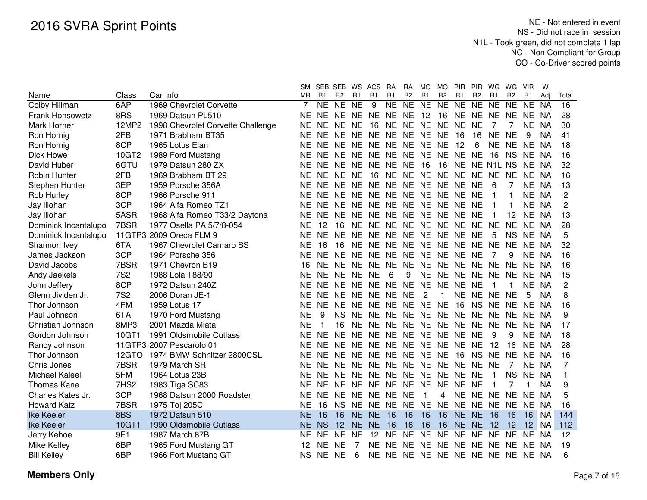|                        |            |                                   |           |              | SM SEB SEB WS ACS |           |                                  | <b>RA</b> | <b>RA</b>      | MO.            | <b>MO</b>      | PIR.                             | <b>PIR</b>     | WG             | WG             | <b>VIR</b> | W         |       |
|------------------------|------------|-----------------------------------|-----------|--------------|-------------------|-----------|----------------------------------|-----------|----------------|----------------|----------------|----------------------------------|----------------|----------------|----------------|------------|-----------|-------|
| Name                   | Class      | Car Info                          | <b>MR</b> | R1           | R <sub>2</sub>    | R1        | R <sub>1</sub>                   | R1        | R <sub>2</sub> | R1             | R <sub>2</sub> | R1                               | R <sub>2</sub> | R <sub>1</sub> | R <sub>2</sub> | R1         | Adi       | Total |
| Colby Hillman          | 6AP        | 1969 Chevrolet Corvette           |           | <b>NE</b>    | <b>NE</b>         | <b>NE</b> | 9                                | <b>NE</b> | <b>NE</b>      | NE.            | <b>NE</b>      | <b>NE</b>                        | <b>NE</b>      | <b>NE</b>      | <b>NE</b>      | NE.        | <b>NA</b> | 16    |
| <b>Frank Honsowetz</b> | 8RS        | 1969 Datsun PL510                 | ΝE        | NE           | <b>NE</b>         |           | NE NE NE                         |           | NE 12          |                | 16             | NE.                              | NE.            | NE.            | <b>NE</b>      | NE.        | <b>NA</b> | 28    |
| Mark Horner            | 12MP2      | 1998 Chevrolet Corvette Challenge | ΝE        | NE.          | NE.               | NE.       | 16                               | <b>NE</b> |                | NE NE NE       |                | <b>NE</b>                        | <b>NE</b>      |                |                | NE.        | <b>NA</b> | 30    |
| Ron Hornig             | 2FB        | 1971 Brabham BT35                 | <b>NE</b> | NE.          | <b>NE</b>         | <b>NE</b> | NE NE                            |           | <b>NE</b>      | NE NE          |                | 16                               | 16             | <b>NE</b>      | <b>NE</b>      | 9          | <b>NA</b> | 41    |
| Ron Hornig             | 8CP        | 1965 Lotus Elan                   | ΝE        | NE.          | <b>NE</b>         | <b>NE</b> | NE NE                            |           | <b>NE</b>      | NE NE          |                | 12                               | 6              | <b>NE</b>      | <b>NE</b>      | <b>NE</b>  | <b>NA</b> | 18    |
| Dick Howe              | 10GT2      | 1989 Ford Mustang                 | ΝE        | NE.          | <b>NE</b>         | <b>NE</b> | NE NE                            |           | <b>NE</b>      | NE NE          |                | <b>NE</b>                        | <b>NE</b>      | 16             | <b>NS</b>      | <b>NE</b>  | NA        | 16    |
| David Huber            | 6GTU       | 1979 Datsun 280 ZX                | ΝE        | NE.          | <b>NE</b>         | <b>NE</b> | NE NE                            |           | <b>NE</b>      | 16             | 16             | <b>NE</b>                        |                | NE N1L NS      |                | NE.        | NA        | 32    |
| <b>Robin Hunter</b>    | 2FB        | 1969 Brabham BT 29                | ΝE        | NE NE        |                   | <b>NE</b> | 16                               | NE.       | <b>NE</b>      | NE NE          |                | <b>NE</b>                        | <b>NE</b>      | <b>NE</b>      | <b>NE</b>      | <b>NE</b>  | <b>NA</b> | 16    |
| Stephen Hunter         | 3EP        | 1959 Porsche 356A                 | <b>NE</b> | NE NE        |                   | <b>NE</b> | NE NE                            |           |                |                | NE NE NE NE    |                                  | <b>NE</b>      | 6              |                | <b>NE</b>  | <b>NA</b> | 13    |
| Rob Hurley             | 8CP        | 1966 Porsche 911                  | <b>NE</b> | NE NE        |                   |           | NE NE NE                         |           |                |                | NE NE NE NE    |                                  | <b>NE</b>      | 1              |                | NE NA      |           | 2     |
| Jay Iliohan            | 3CP        | 1964 Alfa Romeo TZ1               | <b>NE</b> | NE.          | NE.               | <b>NE</b> | NE NE                            |           |                | NE NE NE       |                | NE.                              | <b>NE</b>      |                |                | NE NA      |           | 2     |
| Jay Iliohan            | 5ASR       | 1968 Alfa Romeo T33/2 Daytona     | <b>NE</b> | <b>NE</b>    | NE.               | <b>NE</b> | NE NE                            |           | NE.            | NE NE          |                | NE                               | <b>NE</b>      |                | 12             | <b>NE</b>  | -NA       | 13    |
| Dominick Incantalupo   | 7BSR       | 1977 Osella PA 5/7/8-054          | <b>NE</b> | 12           | 16                | <b>NE</b> | NE NE                            |           | NE.            | NE NE          |                | <b>NE</b>                        | NE             | <b>NE</b>      | <b>NE</b>      | <b>NE</b>  | -NA       | 28    |
| Dominick Incantalupo   |            | 11GTP3 2009 Oreca FLM 9           | ΝE        | <b>NE</b>    | <b>NE</b>         | <b>NE</b> | NE NE                            |           | <b>NE</b>      | NE NE          |                | <b>NE</b>                        | <b>NE</b>      | 5              | <b>NS</b>      | NE.        | - NA      | 5     |
| Shannon Ivey           | 6TA        | 1967 Chevrolet Camaro SS          | <b>NE</b> | 16           | 16                | <b>NE</b> | NE NE                            |           | <b>NE</b>      |                | NE NE NE       |                                  | NE NE          |                | <b>NE</b>      | <b>NE</b>  | - NA      | 32    |
| James Jackson          | 3CP        | 1964 Porsche 356                  | ΝE        | NE NE        |                   | <b>NE</b> | NE NE                            |           | <b>NE</b>      |                | NE NE NE       |                                  | <b>NE</b>      | 7              | 9              | <b>NE</b>  | - NA      | 16    |
| David Jacobs           | 7BSR       | 1971 Chevron B19                  | 16        |              | NE NE             | <b>NE</b> | NE NE                            |           | <b>NE</b>      |                | NE NE NE       |                                  | NE NE          |                | <b>NE</b>      | NE.        | - NA      | 16    |
| Andy Jaekels           | <b>7S2</b> | 1988 Lola T88/90                  | <b>NE</b> |              | NE NE NE NE       |           |                                  | 6         | 9              |                |                | NE NE NE NE NE                   |                |                | <b>NE</b>      | NE NA      |           | 15    |
| John Jeffery           | 8CP        | 1972 Datsun 240Z                  | <b>NE</b> |              |                   |           | NE NE NE NE NE NE NE NE NE       |           |                |                |                |                                  | <b>NE</b>      | 1              | -1             | NE NA      |           | 2     |
| Glenn Jividen Jr.      | <b>7S2</b> | 2006 Doran JE-1                   | <b>NE</b> | NE NE        |                   |           | NE NE NE                         |           | <b>NE</b>      | $\overline{c}$ | 1              | <b>NE</b>                        | NE NE          |                | <b>NE</b>      | 5          | <b>NA</b> | 8     |
| Thor Johnson           | 4FM        | 1959 Lotus 17                     | <b>NE</b> | NE.          | <b>NE</b>         |           | NE NE NE                         |           |                | NE NE NE       |                | 16                               | NS.            | <b>NE</b>      | NE             | NE.        | <b>NA</b> | 16    |
| Paul Johnson           | 6TA        | 1970 Ford Mustang                 | <b>NE</b> | 9            | <b>NS</b>         | <b>NE</b> | NE NE                            |           |                | NE NE NE       |                | NE.                              | NE NE          |                | <b>NE</b>      | NE.        | <b>NA</b> | 9     |
| Christian Johnson      | 8MP3       | 2001 Mazda Miata                  | <b>NE</b> | $\mathbf{1}$ | 16                |           | NE NE NE                         |           |                |                | NE NE NE NE    |                                  | <b>NE</b>      | <b>NE</b>      | <b>NE</b>      | <b>NE</b>  | NA        | 17    |
| Gordon Johnson         | 10GT1      | 1991 Oldsmobile Cutlass           | ΝE        | <b>NE</b>    | <b>NE</b>         |           | NE NE NE                         |           | <b>NE</b>      | NE NE          |                | <b>NE</b>                        | <b>NE</b>      | 9              | 9              | NE         | NA        | 18    |
| Randy Johnson          |            | 11GTP3 2007 Pescarolo 01          | ΝE        | NE           | <b>NE</b>         |           | NE NE NE                         |           |                |                | NE NE NE NE    |                                  | <b>NE</b>      | 12             | 16             | NE         | NA        | 28    |
| Thor Johnson           | 12GTO      | 1974 BMW Schnitzer 2800CSL        | ΝE        |              |                   |           | NE NE NE NE NE NE NE NE 16       |           |                |                |                |                                  | NS NE          |                | <b>NE</b>      | NE.        | NA.       | 16    |
| Chris Jones            | 7BSR       | 1979 March SR                     | <b>NE</b> |              |                   |           | NE NE NE NE NE NE NE NE NE NE NE |           |                |                |                |                                  |                |                | $\overline{7}$ | NE         | - NA      | 7     |
| <b>Michael Kaleel</b>  | 5FM        | 1964 Lotus 23B                    | <b>NE</b> |              |                   |           | NE NE NE NE NE NE NE NE NE NE    |           |                |                |                |                                  |                | 1              | <b>NS</b>      | NE.        | <b>NA</b> | 1     |
| Thomas Kane            | 7HS2       | 1983 Tiga SC83                    | NE.       |              |                   |           | NE NE NE NE NE NE NE NE NE NE    |           |                |                |                |                                  |                | 1              | 7              | 1.         | <b>NA</b> | 9     |
| Charles Kates Jr.      | 3CP        | 1968 Datsun 2000 Roadster         | NE.       | NE NE        |                   |           | NE NE NE NE                      |           |                | -1             | 4              | NE NE NE NE                      |                |                |                | NE.        | NA        | 5     |
| <b>Howard Katz</b>     | 7BSR       | 1975 Toj 205C                     | NE        | 16           | NS.               |           | NE NE NE                         |           |                | NE NE NE       |                | NE NE NE                         |                |                | NE.            | <b>NE</b>  | <b>NA</b> | 16    |
| <b>Ike Keeler</b>      | 8BS        | 1972 Datsun 510                   | NΕ        | 16           | 16                | NE.       | NE.                              | 16        | 16             | 16             | 16             | NE NE                            |                | 16             | 16             | 16         | <b>NA</b> | 144   |
| <b>Ike Keeler</b>      | 10GT1      | 1990 Oldsmobile Cutlass           | <b>NE</b> | <b>NS</b>    | 12                | <b>NE</b> | <b>NE</b>                        | 16        | 16             | 16             | 16             | NE NE                            |                | 12             | 12             | 12         | <b>NA</b> | 112   |
| Jerry Kehoe            | 9F1        | 1987 March 87B                    | NΕ        | <b>NE</b>    | NE.               | <b>NE</b> | 12                               | NE.       | <b>NE</b>      |                | NE NE NE       |                                  | NE NE          |                | <b>NE</b>      | NE NA      |           | 12    |
| Mike Kelley            | 6BP        | 1965 Ford Mustang GT              | 12        | NE.          | <b>NE</b>         |           |                                  | NE NE     | <b>NE</b>      |                | NE NE NE       |                                  | NE NE          |                | NE.            | NE.        | NA.       | 19    |
| <b>Bill Kelley</b>     | 6BP        | 1966 Fort Mustang GT              | NS.       | NE NE        |                   | 6         |                                  |           |                |                |                | NE NE NE NE NE NE NE NE NE NE NA |                |                |                |            |           | 6     |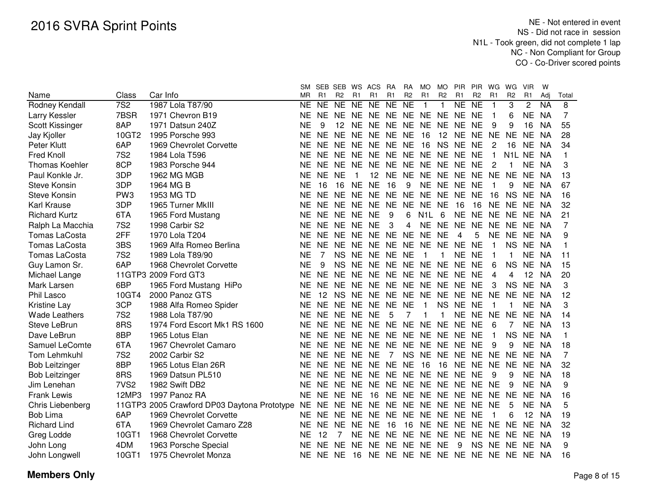|                       |                  |                                                | SМ        |                | SEB SEB WS     |           | ACS                              | <b>RA</b>      | <b>RA</b>      | MO               | MO.            | <b>PIR</b> | PIR                 | WG                      | WG             | <b>VIR</b>     | W         |              |
|-----------------------|------------------|------------------------------------------------|-----------|----------------|----------------|-----------|----------------------------------|----------------|----------------|------------------|----------------|------------|---------------------|-------------------------|----------------|----------------|-----------|--------------|
| Name                  | Class            | Car Info                                       | MR        | R <sub>1</sub> | R <sub>2</sub> | R1        | R1                               | R1             | R <sub>2</sub> | R1               | R <sub>2</sub> | R1         | R <sub>2</sub>      | R1                      | R <sub>2</sub> | R <sub>1</sub> | Adj       | Total        |
| Rodney Kendall        | 7S <sub>2</sub>  | 1987 Lola T87/90                               | <b>NE</b> | <b>NE</b>      | NE NE          |           | N <sub>E</sub>                   | <b>NE</b>      | <b>NE</b>      | $\mathbf{1}$     | 1              | NE         | $\overline{\sf NE}$ | -1                      | 3              | $\mathbf{2}$   | <b>NA</b> | 8            |
| Larry Kessler         | 7BSR             | 1971 Chevron B19                               | <b>NE</b> |                | NE NE NE       |           | NE NE NE NE NE NE NE             |                |                |                  |                |            |                     | $\mathbf 1$             | 6              | <b>NE</b>      | <b>NA</b> | 7            |
| Scott Kissinger       | 8AP              | 1971 Datsun 240Z                               | ΝE        | 9              |                | 12 NE     | NE NE NE                         |                |                | NE.              |                | NE NE NE   |                     | 9                       | 9              | 16             | <b>NA</b> | 55           |
| Jay Kjoller           | 10GT2            | 1995 Porsche 993                               | <b>NE</b> | <b>NE</b>      | NE NE          |           | <b>NE</b>                        | NE NE          |                | 16               |                | 12 NE      | <b>NE</b>           | <b>NE</b>               | <b>NE</b>      | <b>NE</b>      | <b>NA</b> | 28           |
| Peter Klutt           | 6AP              | 1969 Chevrolet Corvette                        | <b>NE</b> | <b>NE</b>      | NE NE          |           | <b>NE</b>                        | NE NE          |                | 16               |                | NS NE      | <b>NE</b>           | 2                       | 16             | <b>NE</b>      | <b>NA</b> | 34           |
| <b>Fred Knoll</b>     | <b>7S2</b>       | 1984 Lola T596                                 | NE        | <b>NE</b>      | NE NE          |           | <b>NE</b>                        | NE NE          |                | <b>NE</b>        | NE NE          |            | <b>NE</b>           | $\mathbf{1}$            | N1L NE         |                | <b>NA</b> | $\mathbf{1}$ |
| <b>Thomas Koehler</b> | 8CP              | 1983 Porsche 944                               | NE        | <b>NE</b>      | NE NE          |           | <b>NE</b>                        | NE NE          |                | NE NE NE         |                |            | <b>NE</b>           | 2                       |                | <b>NE</b>      | <b>NA</b> | 3            |
| Paul Konkle Jr.       | 3DP              | 1962 MG MGB                                    | NE        | <b>NE</b>      | <b>NE</b>      |           | 12                               | NE NE          |                | NE NE NE         |                |            | <b>NE</b>           | <b>NE</b>               | <b>NE</b>      | <b>NE</b>      | <b>NA</b> | 13           |
| <b>Steve Konsin</b>   | 3DP              | 1964 MG B                                      | NE        | 16             | 16             | <b>NE</b> | <b>NE</b>                        | 16             | 9              |                  | NE NE NE       |            | <b>NE</b>           | -1                      | 9              | <b>NE</b>      | NA        | 67           |
| <b>Steve Konsin</b>   | PW <sub>3</sub>  | 1953 MG TD                                     | ΝE        | <b>NE</b>      | NE NE          |           | <b>NE</b>                        | NE NE          |                | NE NE NE         |                |            | <b>NE</b>           | 16                      | <b>NS</b>      | <b>NE</b>      | NA        | 16           |
| <b>Karl Krause</b>    | 3DP              | 1965 Turner MkIII                              | ΝE        | <b>NE</b>      | NE NE          |           | <b>NE</b>                        | NE NE          |                | NE.              | <b>NE</b>      | 16         | 16                  | NE NE                   |                | <b>NE</b>      | ΝA        | 32           |
| <b>Richard Kurtz</b>  | 6TA              | 1965 Ford Mustang                              | ΝE        | <b>NE</b>      | NE NE          |           | <b>NE</b>                        | 9              | 6              | N <sub>1</sub> L | 6              | <b>NE</b>  | <b>NE</b>           | NE NE                   |                | <b>NE</b>      | NA        | 21           |
| Ralph La Macchia      | <b>7S2</b>       | 1998 Carbir S2                                 | ΝE        | <b>NE</b>      | NE NE          |           | <b>NE</b>                        | 3              | 4              | <b>NE</b>        | NE NE          |            | <b>NE</b>           | NE NE                   |                | <b>NE</b>      | <b>NA</b> | 7            |
| <b>Tomas LaCosta</b>  | 2FF              | 1970 Lola T204                                 | <b>NE</b> | <b>NE</b>      | NE NE          |           | <b>NE</b>                        | <b>NE</b>      | <b>NE</b>      | <b>NE</b>        | <b>NE</b>      | 4          | 5                   | NE NE                   |                | <b>NE</b>      | <b>NA</b> | 9            |
| <b>Tomas LaCosta</b>  | 3BS              | 1969 Alfa Romeo Berlina                        | <b>NE</b> | <b>NE</b>      | NE.            | <b>NE</b> | NE.                              | <b>NE</b>      | <b>NE</b>      | NE               | NE NE          |            | <b>NE</b>           | 1                       | <b>NS</b>      | NE             | NA        | $\mathbf 1$  |
| Tomas LaCosta         | <b>7S2</b>       | 1989 Lola T89/90                               | <b>NE</b> | 7              | <b>NS</b>      | <b>NE</b> | <b>NE</b>                        | NE NE          |                | 1                | 1              | <b>NE</b>  | <b>NE</b>           | $\overline{\mathbf{1}}$ |                | <b>NE</b>      | NA        | 11           |
| Guy Lamon Sr.         | 6AP              | 1968 Chevrolet Corvette                        | <b>NE</b> | 9              | <b>NS</b>      | <b>NE</b> | <b>NE</b>                        | <b>NE</b>      | <b>NE</b>      | <b>NE</b>        | NE NE          |            | <b>NE</b>           | 6                       | <b>NS</b>      | <b>NE</b>      | NA        | 15           |
| Michael Lange         |                  | 11GTP3 2009 Ford GT3                           | ΝE        | <b>NE</b>      | <b>NE</b>      | <b>NE</b> | <b>NE</b>                        | <b>NE</b>      | NE             | <b>NE</b>        | NE NE          |            | <b>NE</b>           | 4                       | 4              | 12             | <b>NA</b> | 20           |
| Mark Larsen           | 6BP              | 1965 Ford Mustang HiPo                         | ΝE        | <b>NE</b>      | NE NE          |           | <b>NE</b>                        | NE NE          |                | NE NE NE         |                |            | <b>NE</b>           | 3                       | <b>NS</b>      | <b>NE</b>      | NA.       | 3            |
| Phil Lasco            | 10GT4            | 2000 Panoz GTS                                 | ΝE        | 12             | <b>NS</b>      | <b>NE</b> | <b>NE</b>                        | NE NE          |                | <b>NE</b>        | NE NE          |            | <b>NE</b>           | <b>NE</b>               | <b>NE</b>      | <b>NE</b>      | - NA      | 12           |
| Kristine Lay          | 3CP              | 1988 Alfa Romeo Spider                         | NE.       | <b>NE</b>      | NE NE          |           | <b>NE</b>                        | NE NE          |                | $\overline{1}$   | <b>NS</b>      | <b>NE</b>  | <b>NE</b>           | $\overline{1}$          | 1              | <b>NE</b>      | <b>NA</b> | 3            |
| <b>Wade Leathers</b>  | <b>7S2</b>       | 1988 Lola T87/90                               | NE.       | <b>NE</b>      | NE NE          |           | <b>NE</b>                        | 5              | 7              | 1                | 1              | <b>NE</b>  | <b>NE</b>           | <b>NE</b>               | <b>NE</b>      | NE.            | NA        | 14           |
| <b>Steve LeBrun</b>   | 8RS              | 1974 Ford Escort Mk1 RS 1600                   | NE.       | NE NE NE       |                |           | NE NE NE                         |                |                | <b>NE</b>        | NE NE          |            | <b>NE</b>           | 6                       | 7              | <b>NE</b>      | <b>NA</b> | 13           |
| Dave LeBrun           | 8BP              | 1965 Lotus Elan                                | NE.       | NE NE NE       |                |           | NE NE NE NE NE NE                |                |                |                  |                |            | <b>NE</b>           | $\overline{1}$          | <b>NS</b>      | <b>NE</b>      | NA        | $\mathbf{1}$ |
| Samuel LeComte        | 6TA              | 1967 Chevrolet Camaro                          | NE.       | NE NE NE       |                |           | NE NE NE NE NE NE                |                |                |                  |                |            | <b>NE</b>           | 9                       | 9              | <b>NE</b>      | NA        | 18           |
| Tom Lehmkuhl          | <b>7S2</b>       | 2002 Carbir S2                                 | NE.       | NE NE NE       |                |           | <b>NE</b>                        | $\overline{7}$ | <b>NS</b>      | <b>NE</b>        | NE NE          |            | NE NE NE            |                         |                | <b>NE</b>      | NA        | 7            |
| <b>Bob Leitzinger</b> | 8BP              | 1965 Lotus Elan 26R                            | <b>NE</b> | <b>NE</b>      | NE NE          |           | NE NE NE                         |                |                | 16               | 16             | <b>NE</b>  | NE NE NE            |                         |                | <b>NE</b>      | <b>NA</b> | 32           |
| <b>Bob Leitzinger</b> | 8RS              | 1969 Datsun PL510                              | <b>NE</b> | <b>NE</b>      | NE NE          |           | <b>NE</b>                        | NE NE          |                | <b>NE</b>        | NE NE          |            | <b>NE</b>           | 9                       | 9              | <b>NE</b>      | <b>NA</b> | 18           |
| Jim Lenehan           | 7VS <sub>2</sub> | 1982 Swift DB2                                 | <b>NE</b> | <b>NE</b>      | NE NE          |           | <b>NE</b>                        | NE NE          |                | <b>NE</b>        | NE NE          |            | <b>NE</b>           | <b>NE</b>               | 9              | <b>NE</b>      | <b>NA</b> | 9            |
| <b>Frank Lewis</b>    | 12MP3            | 1997 Panoz RA                                  | NE.       | <b>NE</b>      | NE NE          |           | 16                               | NE NE          |                | <b>NE</b>        | NE NE          |            | <b>NE</b>           | NE NE                   |                | <b>NE</b>      | NA        | 16           |
| Chris Liebenberg      |                  | 11GTP3 2005 Crawford DP03 Daytona Prototype NE |           | NE.            | NE NE          |           | <b>NE</b>                        | NE NE          |                | NE.              | NE NE          |            | NE.                 | <b>NE</b>               | 5              | <b>NE</b>      | NA        | 5            |
| <b>Bob Lima</b>       | 6AP              | 1969 Chevrolet Corvette                        | NE.       | NE.            | NE NE          |           | NE.                              | NE NE          |                | NE.              | NE NE          |            | <b>NE</b>           | -1                      | 6              | 12             | <b>NA</b> | 19           |
| <b>Richard Lind</b>   | 6TA              | 1969 Chevrolet Camaro Z28                      | <b>NE</b> | <b>NE</b>      | NE NE          |           | <b>NE</b>                        | 16             | 16             | <b>NE</b>        | NE NE          |            | <b>NE</b>           | NE NE                   |                | <b>NE</b>      | NA        | 32           |
| Greg Lodde            | 10GT1            | 1968 Chevrolet Corvette                        | <b>NE</b> | 12             | $\overline{7}$ | NE        |                                  | NE NE NE       |                | NE NE NE         |                |            |                     |                         | NE NE NE       | NE             | NA        | 19           |
| John Long             | 4DM              | 1963 Porsche Special                           | ΝE        | <b>NE</b>      | NE NE          |           | NE.                              | NE NE          |                | <b>NE</b>        | <b>NE</b>      | 9          | <b>NS</b>           | NE NE                   |                | NE             | NA        | 9            |
| John Longwell         | 10GT1            | 1975 Chevrolet Monza                           | NE.       | NE NE          |                | 16        | NE NE NE NE NE NE NE NE NE NE NA |                |                |                  |                |            |                     |                         |                |                |           | 16           |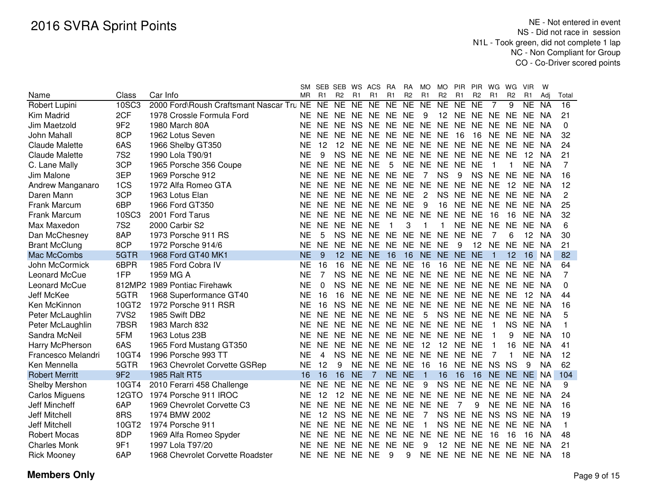|                       |                  |                                          |           |             | SM SEB SEB WS ACS |                |                            | RA        | <b>RA</b>      | MO             | MO              | <b>PIR</b>        | <b>PIR</b>      | WG             | WG             | <b>VIR</b>     | W         |                 |
|-----------------------|------------------|------------------------------------------|-----------|-------------|-------------------|----------------|----------------------------|-----------|----------------|----------------|-----------------|-------------------|-----------------|----------------|----------------|----------------|-----------|-----------------|
| Name                  | Class            | Car Info                                 | <b>MR</b> | R1          | R <sub>2</sub>    | R <sub>1</sub> | R1                         | R1        | R <sub>2</sub> | R <sub>1</sub> | R <sub>2</sub>  | R1                | R <sub>2</sub>  | R <sub>1</sub> | R <sub>2</sub> | R <sub>1</sub> | Adj       | Total           |
| Robert Lupini         | 10SC3            | 2000 Ford\Roush Craftsmant Nascar Tru NE |           | NE          | NE                |                | NE NE                      | NE        | NE             | NE             | NE              | NE                | $\overline{NE}$ | $\overline{7}$ | 9              | NE             | <b>NA</b> | $\overline{16}$ |
| Kim Madrid            | 2CF              | 1978 Crossle Formula Ford                | NE.       |             |                   |                | NE NE NE NE NE NE          |           |                | -9             | 12 <sup>2</sup> | NE NE NE          |                 |                | NE.            | NE NA          |           | 21              |
| Jim Maetzold          | 9F <sub>2</sub>  | 1980 March 80A                           | NE        | NE.         | NE.               | <b>NS</b>      | NE NE NE                   |           |                |                | NE NE NE        |                   | NE NE           |                | NE.            | NE NA          |           | $\Omega$        |
| John Mahall           | 8CP              | 1962 Lotus Seven                         | NE        | NE.         | NE.               |                | NE NE NE NE NE NE          |           |                |                |                 | 16                | 16              | NE NE          |                | NE NA          |           | 32              |
| Claude Malette        | 6AS              | 1966 Shelby GT350                        | <b>NE</b> | 12          | 12                |                | NE NE NE NE NE NE NE NE NE |           |                |                |                 |                   |                 |                | <b>NE</b>      | NE NA          |           | 24              |
| <b>Claude Malette</b> | <b>7S2</b>       | 1990 Lola T90/91                         | <b>NE</b> | 9           | <b>NS</b>         |                | NE NE NE                   |           |                |                |                 | NE NE NE NE NE NE |                 |                | <b>NE</b>      | 12             | NA        | 21              |
| C. Lane Mally         | 3CP              | 1965 Porsche 356 Coupe                   | <b>NE</b> | <b>NE</b>   | <b>NE</b>         | NE NE          |                            | 5         |                |                |                 | NE NE NE NE NE    |                 |                |                | NE NA          |           | 7               |
| Jim Malone            | 3EP              | 1969 Porsche 912                         | ΝE        | NE.         | NE.               |                | NE NE NE                   |           | <b>NE</b>      | $\overline{7}$ | <b>NS</b>       | 9                 | NS NE           |                | <b>NE</b>      | NE NA          |           | 16              |
| Andrew Manganaro      | 1CS              | 1972 Alfa Romeo GTA                      | <b>NE</b> | NE.         | <b>NE</b>         |                | NE NE NE                   |           | <b>NE</b>      | <b>NE</b>      | <b>NE</b>       | <b>NE</b>         | NE.             | <b>NE</b>      | 12             | NE.            | NA        | 12              |
| Daren Mann            | 3CP              | 1963 Lotus Elan                          | <b>NE</b> | NE.         | <b>NE</b>         |                | NE NE NE                   |           | <b>NE</b>      | 2              |                 | NS NE NE NE       |                 |                | <b>NE</b>      | NE NA          |           | 2               |
| Frank Marcum          | 6BP              | 1966 Ford GT350                          | <b>NE</b> | NE.         | <b>NE</b>         |                | NE NE NE                   |           | <b>NE</b>      | 9              | 16              | NE NE NE          |                 |                | <b>NE</b>      | NE.            | NA        | 25              |
| Frank Marcum          | 10SC3            | 2001 Ford Tarus                          | <b>NE</b> | <b>NE</b>   | <b>NE</b>         | <b>NE</b>      | <b>NE</b>                  | <b>NE</b> | <b>NE</b>      | <b>NE</b>      | <b>NE</b>       | <b>NE</b>         | <b>NE</b>       | 16             | 16             | <b>NE</b>      | NA        | 32              |
| Max Maxedon           | <b>7S2</b>       | 2000 Carbir S2                           | <b>NE</b> | <b>NE</b>   | <b>NE</b>         | <b>NE</b>      | <b>NE</b>                  | 1         | 3              | 1              | 1               | <b>NE</b>         | <b>NE</b>       | <b>NE</b>      | <b>NE</b>      | <b>NE</b>      | <b>NA</b> | 6               |
| Dan McChesney         | 8AP              | 1973 Porsche 911 RS                      | <b>NE</b> | 5           | <b>NS</b>         | <b>NE</b>      | NE NE                      |           | <b>NE</b>      | <b>NE</b>      | <b>NE</b>       | <b>NE</b>         | <b>NE</b>       | 7              | 6              | 12             | <b>NA</b> | 30              |
| <b>Brant McClung</b>  | 8CP              | 1972 Porsche 914/6                       | <b>NE</b> | <b>NE</b>   | <b>NE</b>         | <b>NE</b>      | NE NE                      |           | <b>NE</b>      | NE NE          |                 | 9                 | 12              | <b>NE</b>      | <b>NE</b>      | <b>NE</b>      | <b>NA</b> | 21              |
| Mac McCombs           | 5GTR             | 1968 Ford GT40 MK1                       | <b>NE</b> | 9           | 12 <sup>2</sup>   |                | NE NE                      | 16        | 16             |                |                 | NE NE NE NE       |                 | 1              | 12             | 16             | <b>NA</b> | 82              |
| John McCormick        | 6BPR             | 1985 Ford Cobra IV                       | <b>NE</b> | 16          | 16                | <b>NE</b>      | NE.                        | <b>NE</b> | <b>NE</b>      | 16             | 16              | NE                | <b>NE</b>       | <b>NE</b>      | <b>NE</b>      | <b>NE</b>      | <b>NA</b> | 64              |
| Leonard McCue         | 1FP              | 1959 MG A                                | <b>NE</b> | 7           | <b>NS</b>         | <b>NE</b>      | NE NE                      |           | <b>NE</b>      | NE NE          |                 | <b>NE</b>         | NE NE           |                | <b>NE</b>      | NE.            | NA        | 7               |
| Leonard McCue         |                  | 812MP2 1989 Pontiac Firehawk             | <b>NE</b> | $\mathbf 0$ | <b>NS</b>         | <b>NE</b>      | NE NE                      |           | <b>NE</b>      | NE NE          |                 | <b>NE</b>         | NE NE           |                | <b>NE</b>      | NE.            | <b>NA</b> | $\Omega$        |
| Jeff McKee            | 5GTR             | 1968 Superformance GT40                  | <b>NE</b> | 16          | 16                | <b>NE</b>      | NE NE                      |           | <b>NE</b>      | NE NE          |                 | <b>NE</b>         | <b>NE</b>       | NE.            | <b>NE</b>      | 12             | NA        | 44              |
| Ken McKinnon          | 10GT2            | 1972 Porsche 911 RSR                     | <b>NE</b> | 16          | <b>NS</b>         | <b>NE</b>      | NE NE                      |           | <b>NE</b>      | NE NE          |                 | <b>NE</b>         | NE NE           |                | <b>NE</b>      | <b>NE</b>      | NA        | 16              |
| Peter McLaughlin      | 7VS <sub>2</sub> | 1985 Swift DB2                           | <b>NE</b> | <b>NE</b>   | <b>NE</b>         | <b>NE</b>      | NE NE                      |           | <b>NE</b>      | 5              | <b>NS</b>       | <b>NE</b>         | NE NE           |                | <b>NE</b>      | NE NA          |           | 5               |
| Peter McLaughlin      | 7BSR             | 1983 March 832                           | <b>NE</b> | <b>NE</b>   | <b>NE</b>         | <b>NE</b>      | NE NE                      |           |                | NE NE NE       |                 | <b>NE</b>         | <b>NE</b>       | 1              | <b>NS</b>      | NE NA          |           | 1               |
| Sandra McNeil         | 5FM              | 1963 Lotus 23B                           | <b>NE</b> |             | NE NE             | <b>NE</b>      | NE NE NE NE NE NE          |           |                |                |                 |                   | <b>NE</b>       |                | 9              | NE.            | NA        | 10              |
| Harry McPherson       | 6AS              | 1965 Ford Mustang GT350                  | <b>NE</b> | NE.         | <b>NE</b>         | <b>NE</b>      | NE NE NE                   |           |                | 12             | 12              | <b>NE</b>         | <b>NE</b>       | 1              | 16             | NE.            | <b>NA</b> | 41              |
| Francesco Melandri    | 10GT4            | 1996 Porsche 993 TT                      | <b>NE</b> | 4           | <b>NS</b>         | <b>NE</b>      | NE NE                      |           |                |                | NE NE NE NE     |                   | <b>NE</b>       | 7              | 1              | <b>NE</b>      | - NA      | 12              |
| Ken Mennella          | 5GTR             | 1963 Chevrolet Corvette GSRep            | <b>NE</b> | 12          | 9                 | <b>NE</b>      | NE NE                      |           | <b>NE</b>      | 16             | 16              | <b>NE</b>         | NE NS           |                | <b>NS</b>      | 9              | NA        | 62              |
| <b>Robert Merritt</b> | 9F <sub>2</sub>  | 1985 Ralt RT5                            | 16        | 16          | 16                | <b>NE</b>      | $\overline{7}$             | NE NE     |                | $\overline{1}$ | 16              | 16                | 16              | <b>NE</b>      |                | NE NE NA       |           | 104             |
| <b>Shelby Mershon</b> | 10GT4            | 2010 Ferarri 458 Challenge               | ΝE        | <b>NE</b>   | NE.               | <b>NE</b>      | <b>NE</b>                  | <b>NE</b> | <b>NE</b>      | 9              | <b>NS</b>       | <b>NE</b>         | <b>NE</b>       | NE.            | <b>NE</b>      | NE NA          |           | 9               |
| <b>Carlos Miguens</b> |                  | 12GTO 1974 Porsche 911 IROC              | <b>NE</b> | 12          | 12                | <b>NE</b>      | NE.                        | <b>NE</b> | <b>NE</b>      | <b>NE</b>      | <b>NE</b>       | <b>NE</b>         | <b>NE</b>       | NE.            | <b>NE</b>      | <b>NE</b>      | - NA      | 24              |
| <b>Jeff Mincheff</b>  | 6AP              | 1969 Chevrolet Corvette C3               | <b>NE</b> | NE.         | <b>NE</b>         | NE.            | NE NE                      |           | <b>NE</b>      | NE             | <b>NE</b>       | 7                 | 9               | <b>NE</b>      | NE             | NE NA          |           | 16              |
| <b>Jeff Mitchell</b>  | 8RS              | 1974 BMW 2002                            | <b>NE</b> | 12          | <b>NS</b>         | <b>NE</b>      | NE NE                      |           | <b>NE</b>      | $\overline{7}$ | <b>NS</b>       | <b>NE</b>         | <b>NE</b>       | <b>NS</b>      | <b>NS</b>      | NE NA          |           | 19              |
| <b>Jeff Mitchell</b>  | 10GT2            | 1974 Porsche 911                         | <b>NE</b> | NE.         | <b>NE</b>         | <b>NE</b>      | NE NE                      |           | <b>NE</b>      | $\overline{1}$ | <b>NS</b>       | <b>NE</b>         | <b>NE</b>       | <b>NE</b>      | <b>NE</b>      | NE NA          |           | 1               |
| <b>Robert Mocas</b>   | 8DP              | 1969 Alfa Romeo Spyder                   | <b>NE</b> | <b>NE</b>   | <b>NE</b>         | <b>NE</b>      | NE NE                      |           | <b>NE</b>      | <b>NE</b>      | <b>NE</b>       | <b>NE</b>         | <b>NE</b>       | 16             | 16             | 16             | NA        | 48              |
| <b>Charles Monk</b>   | 9F1              | 1997 Lola T97/20                         | <b>NE</b> | <b>NE</b>   | <b>NE</b>         | <b>NE</b>      | <b>NE</b>                  | <b>NE</b> | <b>NE</b>      | 9              | 12              | <b>NE</b>         | NE.             | <b>NE</b>      | <b>NE</b>      | <b>NE</b>      | NA        | 21              |
| <b>Rick Mooney</b>    | 6AP              | 1968 Chevrolet Corvette Roadster         | <b>NE</b> | NE.         | NE NE             |                | <b>NE</b>                  | 9         | 9              |                |                 | NE NE NE NE NE NE |                 |                |                | NE NA          |           | 18              |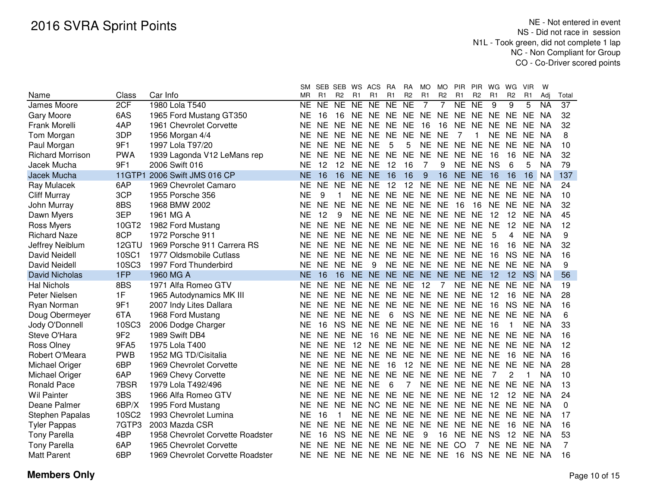|                         |                 |                                  | <b>SM</b> |                        | SEB SEB WS     |                | ACS                                 | <b>RA</b>      | <b>RA</b>       | MO        | <b>MO</b>      | <b>PIR</b>              | <b>PIR</b>               | WG        | WG             | <b>VIR</b>  | W            |                 |
|-------------------------|-----------------|----------------------------------|-----------|------------------------|----------------|----------------|-------------------------------------|----------------|-----------------|-----------|----------------|-------------------------|--------------------------|-----------|----------------|-------------|--------------|-----------------|
| Name                    | Class           | Car Info                         | <b>MR</b> | R <sub>1</sub>         | R <sub>2</sub> | R1             | R <sub>1</sub>                      | R <sub>1</sub> | R <sub>2</sub>  | R1        | R <sub>2</sub> | R1                      | R <sub>2</sub>           | R1        | R <sub>2</sub> | R1          | Adj          | Total           |
| James Moore             | 2CF             | 1980 Lola T540                   | <b>NE</b> | $\overline{\text{NE}}$ | NE             | N <sub>E</sub> | NE                                  | NE             | $\overline{NE}$ | 7         | 7              | NE                      | $\overline{\mathsf{NE}}$ | 9         | $\overline{9}$ | 5           | <b>NA</b>    | $\overline{37}$ |
| Gary Moore              | 6AS             | 1965 Ford Mustang GT350          | ΝE        | 16                     | 16             |                | NE NE NE NE NE NE NE NE NE NE NE NA |                |                 |           |                |                         |                          |           |                |             |              | 32              |
| Frank Morelli           | 4AP             | 1961 Chevrolet Corvette          | <b>NE</b> | NE.                    |                |                | NE NE NE NE NE                      |                |                 | 16        | 16             | NE NE NE NE             |                          |           |                | NE.         | <b>NA</b>    | 32              |
| Tom Morgan              | 3DP             | 1956 Morgan 4/4                  | ΝE        |                        | NE NE NE NE    |                |                                     | NE NE          |                 | <b>NE</b> | <b>NE</b>      | 7                       | 1                        |           |                | NE NE NE NA |              | 8               |
| Paul Morgan             | 9F1             | 1997 Lola T97/20                 | ΝE        |                        | NE NE NE NE    |                |                                     | 5              | 5               |           |                | NE NE NE NE NE NE NE    |                          |           |                |             | <b>NA</b>    | 10              |
| <b>Richard Morrison</b> | <b>PWA</b>      | 1939 Lagonda V12 LeMans rep      | ΝE        | NE.                    | <b>NE</b>      |                | NE NE NE NE                         |                |                 | <b>NE</b> | NE.            | NE NE                   |                          | 16        | 16             | <b>NE</b>   | NA           | 32              |
| Jacek Mucha             | 9F1             | 2006 Swift 016                   | ΝE        | 12                     |                |                | 12 NE NE                            | 12             | 16              | 7         | 9              |                         | NE NE NS                 |           | 6              | 5           | <b>NA</b>    | 79              |
| Jacek Mucha             | <b>11GTP1</b>   | 2006 Swift JMS 016 CP            | NE        | 16                     | 16             |                | NE NE                               | 16             | 16              | 9         | 16             | NE NE                   |                          | 16        | 16             | 16          | NA           | 137             |
| Ray Mulacek             | 6AP             | 1969 Chevrolet Camaro            | ΝE        | <b>NE</b>              | NE NE          |                | <b>NE</b>                           | 12             | 12              | NE.       | NE NE          |                         | NE                       | NE NE     |                | NE.         | NA           | 24              |
| <b>Cliff Murray</b>     | 3CP             | 1955 Porsche 356                 | ΝE        | 9                      |                |                | NE NE NE NE NE NE NE NE NE NE       |                |                 |           |                |                         |                          |           |                | NE.         | NA           | 10              |
| John Murray             | 8BS             | 1968 BMW 2002                    | ΝE        | <b>NE</b>              | NF.            | <b>NE</b>      |                                     | NE NE NE       |                 | NE NE     |                | -16                     | 16                       | NE NE     |                | NE.         | - NA         | 32              |
| Dawn Myers              | 3EP             | 1961 MG A                        | ΝE        | 12                     | 9              | NE.            |                                     |                |                 |           |                | NE NE NE NE NE NE NE    |                          | 12        | 12             |             | NE NA        | 45              |
| Ross Myers              | 10GT2           | 1982 Ford Mustang                | ΝE        | <b>NE</b>              |                |                | NE NE NE NE NE NE NE NE NE          |                |                 |           |                |                         |                          | <b>NE</b> | 12             | NE.         | NA           | 12              |
| <b>Richard Naze</b>     | 8CP             | 1972 Porsche 911                 | ΝE        | <b>NE</b>              |                |                | NE NE NE NE NE NE NE NE NE          |                |                 |           |                |                         |                          | 5         | 4              | NE NA       |              | 9               |
| Jeffrey Neiblum         | 12GTU           | 1969 Porsche 911 Carrera RS      | ΝE        | NE.                    |                |                | NE NE NE NE NE NE NE NE NE          |                |                 |           |                |                         |                          | 16        | 16             | <b>NE</b>   | <b>NA</b>    | 32              |
| <b>David Neidell</b>    | <b>10SC1</b>    | 1977 Oldsmobile Cutlass          | ΝE        | NE.                    |                |                | NE NE NE NE NE NE NE NE NE          |                |                 |           |                |                         |                          | 16        | <b>NS</b>      | NE.         | NA           | 16              |
| David Neidell           | <b>10SC3</b>    | 1997 Ford Thunderbird            | ΝE        | <b>NE</b>              | NE NE          |                | 9                                   |                |                 |           |                | NE NE NE NE NE NE NE NE |                          |           |                | NE NA       |              | 9               |
| <b>David Nicholas</b>   | 1FP             | 1960 MG A                        | <b>NE</b> | 16                     | 16             |                | NE NE                               |                | NE NE NE        |           |                | NE NE NE                |                          | 12        | 12             |             | <b>NS NA</b> | 56              |
| <b>Hal Nichols</b>      | 8BS             | 1971 Alfa Romeo GTV              | ΝE        | <b>NE</b>              | <b>NE</b>      | <b>NE</b>      | <b>NE</b>                           | <b>NE</b>      | NE              | 12        | $\overline{7}$ | NE                      | <b>NE</b>                | <b>NE</b> | <b>NE</b>      | NE.         | <b>NA</b>    | 19              |
| Peter Nielsen           | 1F              | 1965 Autodynamics MK III         | NE        | <b>NE</b>              | NE NE          |                | NE NE NE                            |                |                 | NE NE NE  |                |                         | <b>NE</b>                | 12        | 16             | <b>NE</b>   | NA           | 28              |
| Ryan Norman             | 9F1             | 2007 Indy Lites Dallara          | NE        | <b>NE</b>              | <b>NE</b>      | <b>NE</b>      | <b>NE</b>                           | <b>NE</b>      | <b>NE</b>       | NE NE NE  |                |                         | <b>NE</b>                | 16        | <b>NS</b>      | <b>NE</b>   | NA           | 16              |
| Doug Obermeyer          | 6TA             | 1968 Ford Mustang                | NE        | <b>NE</b>              | <b>NE</b>      | <b>NE</b>      | <b>NE</b>                           | 6              | <b>NS</b>       | NE NE NE  |                |                         | <b>NE</b>                | <b>NE</b> | <b>NE</b>      | NE NA       |              | 6               |
| Jody O'Donnell          | 10SC3           | 2006 Dodge Charger               | NE        | 16                     | <b>NS</b>      | <b>NE</b>      | <b>NE</b>                           | <b>NE</b>      | <b>NE</b>       |           | NE NE NE       |                         | <b>NE</b>                | 16        | -1             | NE.         | NA           | 33              |
| Steve O'Hara            | 9F <sub>2</sub> | 1989 Swift DB4                   | ΝE        | <b>NE</b>              | <b>NE</b>      | <b>NE</b>      | 16                                  | NE             | <b>NE</b>       | NE NE NE  |                |                         | NE NE                    |           | <b>NE</b>      | NE.         | NA           | 16              |
| Ross Olney              | 9FA5            | 1975 Lola T400                   | ΝE        | <b>NE</b>              | <b>NE</b>      | 12             | NE.                                 | NE             | <b>NE</b>       |           | NE NE NE       |                         | NE NE                    |           | <b>NE</b>      | NE NA       |              | 12              |
| Robert O'Meara          | <b>PWB</b>      | 1952 MG TD/Cisitalia             | NE        | NE.                    | NE.            | <b>NE</b>      | NE.                                 | NE.            | NE.             | NE NE NE  |                |                         | NE NE                    |           | 16             | NE.         | NA           | 16              |
| Michael Origer          | 6BP             | 1969 Chevrolet Corvette          | NE        | NE.                    | NE.            | <b>NE</b>      | <b>NE</b>                           | 16             | 12              |           | NE NE NE       |                         | NE.                      | NE.       | <b>NE</b>      | NE.         | NA           | 28              |
| Michael Origer          | 6AP             | 1969 Chevy Corvette              | <b>NE</b> | NE.                    | NE.            | <b>NE</b>      | NE.                                 | NE.            | <b>NE</b>       | NE NE     |                | NE                      | NE                       | 7         | 2              |             | <b>NA</b>    | 10              |
| <b>Ronald Pace</b>      | 7BSR            | 1979 Lola T492/496               | NE        | NE.                    | NE.            | <b>NE</b>      | <b>NE</b>                           | 6              | 7               |           |                | NE NE NE NE             |                          | NE.       | <b>NE</b>      | <b>NE</b>   | NA           | 13              |
| <b>Wil Painter</b>      | 3BS             | 1966 Alfa Romeo GTV              | NE        | NE.                    | NE.            | NE.            | NE.                                 | <b>NE</b>      | <b>NE</b>       | NE NE NE  |                |                         | <b>NE</b>                | 12        | -12            | NE.         | NA           | 24              |
| Deane Palmer            | 6BP/X           | 1995 Ford Mustang                | <b>NE</b> | NE.                    | <b>NE</b>      | <b>NE</b>      | <b>NC</b>                           | <b>NE</b>      | NE.             |           |                | NE NE NE                | NE NE                    |           | NE.            | NE NA       |              | 0               |
| <b>Stephen Papalas</b>  | <b>10SC2</b>    | 1993 Chevrolet Lumina            | NE        | 16                     |                | <b>NE</b>      | <b>NE</b>                           | <b>NE</b>      | NE.             | NE NE NE  |                |                         | NE.                      | NE.       | NE.            | NE NA       |              | 17              |
| <b>Tyler Pappas</b>     | 7GTP3           | 2003 Mazda CSR                   | ΝE        | <b>NE</b>              | <b>NE</b>      | <b>NE</b>      | NE.                                 | <b>NE</b>      | NE.             | NE.       | NE.            | NE.                     | NE.                      | <b>NE</b> | -16            | NE.         | NA           | 16              |
| <b>Tony Parella</b>     | 4BP             | 1958 Chevrolet Corvette Roadster | NE        | 16                     | <b>NS</b>      | <b>NE</b>      | NE.                                 | NE.            | <b>NE</b>       | 9         | 16             | <b>NE</b>               | <b>NE</b>                | <b>NS</b> | 12             | NE.         | -NA          | 53              |
| <b>Tony Parella</b>     | 6AP             | 1965 Chevrolet Corvette          | ΝE        | NE.                    | NF.            | NE             | NE.                                 | NE.            | <b>NE</b>       | NE.       | NE.            | CO                      | 7                        | <b>NE</b> | <b>NE</b>      | NE.         | -NA          | 7               |
| <b>Matt Parent</b>      | 6BP             | 1969 Chevrolet Corvette Roadster | <b>NE</b> | NE                     | NE.            | NE             | NE NE NE                            |                |                 | NE NE     |                | -16                     | NS.                      | NE.       | NE             | NE NA       |              | 16              |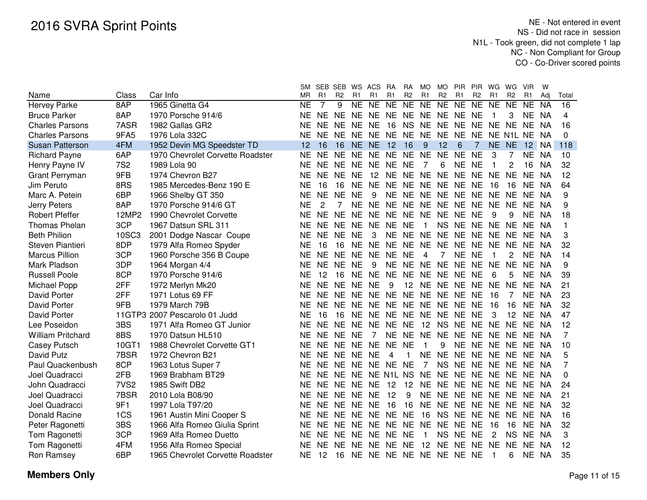|                          |                  |                                  | SM.       |           | SEB SEB        | WS        | ACS                        | RA        | RA             | <b>MO</b>      | <b>MO</b>      | <b>PIR</b>     | PIR.           | WG.       | WG             | <b>VIR</b>     | W         |          |
|--------------------------|------------------|----------------------------------|-----------|-----------|----------------|-----------|----------------------------|-----------|----------------|----------------|----------------|----------------|----------------|-----------|----------------|----------------|-----------|----------|
| Name                     | Class            | Car Info                         | ΜR        | R1        | R <sub>2</sub> | R1        | R1                         | R1        | R <sub>2</sub> | R1             | R <sub>2</sub> | R <sub>1</sub> | R <sub>2</sub> | R1        | R <sub>2</sub> | R <sub>1</sub> | Adi       | Total    |
| <b>Hervey Parke</b>      | 8AP              | 1965 Ginetta G4                  | NE        | 7         | 9              |           | NE NE                      | <b>NE</b> | <b>NE</b>      | <b>NE</b>      | <b>NE</b>      | <b>NE</b>      | NE             | <b>NE</b> | <b>NE</b>      | <b>NE</b>      | <b>NA</b> | 16       |
| <b>Bruce Parker</b>      | 8AP              | 1970 Porsche 914/6               | NE.       | <b>NE</b> | NE NE          |           | NE                         | NE NE     |                | NE             | NE NE          |                | <b>NE</b>      |           | 3              | NE NA          |           | 4        |
| <b>Charles Parsons</b>   | 7ASR             | 1982 Gallas GR2                  | NE        | <b>NE</b> | NE NE          |           | <b>NE</b>                  | 16        | <b>NS</b>      | NE.            | NE NE          |                | NE.            | NE NE     |                | <b>NE</b>      | NA.       | 16       |
| <b>Charles Parsons</b>   | 9FA5             | 1976 Lola 332C                   | NE        | <b>NE</b> |                |           | NE NE NE NE NE             |           |                | NE.            | NE NE          |                | <b>NE</b>      |           | NE N1L NE NA   |                |           | $\Omega$ |
| <b>Susan Patterson</b>   | 4FM              | 1952 Devin MG Speedster TD       | 12        | 16        | 16             |           | NE NE                      | 12        | 16             | 9              | 12             | 6              | 7              | NE.       | <b>NE</b>      | 12             | <b>NA</b> | 118      |
| <b>Richard Payne</b>     | 6AP              | 1970 Chevrolet Corvette Roadster | <b>NE</b> | <b>NE</b> | <b>NE</b>      | NE.       | NE.                        | <b>NE</b> | <b>NE</b>      | <b>NE</b>      | <b>NE</b>      | <b>NE</b>      | <b>NE</b>      | 3         |                | NE.            | <b>NA</b> | 10       |
| Henry Payne IV           | <b>7S2</b>       | 1989 Lola 90                     | NF.       | <b>NE</b> | <b>NE</b>      | <b>NE</b> | <b>NE</b>                  | <b>NE</b> | <b>NE</b>      | -7             | 6              | <b>NE</b>      | <b>NE</b>      | 1         | 2              | 16             | <b>NA</b> | 32       |
| Grant Perryman           | 9FB              | 1974 Chevron B27                 | ΝE        | <b>NE</b> | <b>NE</b>      | <b>NE</b> | 12                         | <b>NE</b> | <b>NE</b>      | <b>NE</b>      | <b>NE</b>      | <b>NE</b>      | <b>NE</b>      | <b>NE</b> | <b>NE</b>      | <b>NE</b>      | <b>NA</b> | 12       |
| Jim Peruto               | 8RS              | 1985 Mercedes-Benz 190 E         | <b>NE</b> | 16        | 16             | <b>NE</b> | <b>NE</b>                  | <b>NE</b> | <b>NE</b>      | <b>NE</b>      | <b>NE</b>      | <b>NE</b>      | <b>NE</b>      | 16        | 16             | <b>NE</b>      | <b>NA</b> | 64       |
| Marc A. Petein           | 6BP              | 1966 Shelby GT 350               | <b>NE</b> | <b>NE</b> | <b>NE</b>      | <b>NE</b> | 9                          | <b>NE</b> | <b>NE</b>      | NE NE          |                | <b>NE</b>      | NE NE          |           | <b>NE</b>      | NE NA          |           | 9        |
| <b>Jerry Peters</b>      | 8AP              | 1970 Porsche 914/6 GT            | <b>NE</b> | 2         |                | <b>NE</b> | <b>NE</b>                  | <b>NE</b> | <b>NE</b>      | NE             | <b>NE</b>      | <b>NE</b>      | <b>NE</b>      | <b>NE</b> | <b>NE</b>      | NE NA          |           | 9        |
| <b>Robert Pfeffer</b>    | 12MP2            | 1990 Chevrolet Corvette          | <b>NE</b> | <b>NE</b> | <b>NE</b>      | <b>NE</b> | <b>NE</b>                  | <b>NE</b> | <b>NE</b>      | NE NE          |                | <b>NE</b>      | <b>NE</b>      | 9         | 9              | <b>NE</b>      | NA        | 18       |
| Thomas Phelan            | 3CP              | 1967 Datsun SRL 311              | <b>NE</b> | NE.       | <b>NE</b>      | <b>NE</b> | NE                         | <b>NE</b> | <b>NE</b>      | $\mathbf{1}$   | <b>NS</b>      | <b>NE</b>      | NE NE          |           | <b>NE</b>      | NE NA          |           | 1        |
| <b>Beth Philion</b>      | 10SC3            | 2001 Dodge Nascar Coupe          | <b>NE</b> | NE.       | <b>NE</b>      | <b>NE</b> | 3                          | <b>NE</b> | <b>NE</b>      | <b>NE</b>      | <b>NE</b>      | <b>NE</b>      | NE NE          |           | <b>NE</b>      | NE NA          |           | 3        |
| Steven Piantieri         | 8DP              | 1979 Alfa Romeo Spyder           | <b>NE</b> | 16        | 16             | <b>NE</b> | <b>NE</b>                  | <b>NE</b> | <b>NE</b>      | <b>NE</b>      | <b>NE</b>      | <b>NE</b>      | <b>NE</b>      | <b>NE</b> | <b>NE</b>      | <b>NE</b>      | NA        | 32       |
| <b>Marcus Pillion</b>    | 3CP              | 1960 Porsche 356 B Coupe         | <b>NE</b> | <b>NE</b> | <b>NE</b>      | <b>NE</b> | <b>NE</b>                  | <b>NE</b> | <b>NE</b>      | $\overline{4}$ | 7              | <b>NE</b>      | <b>NE</b>      |           | 2              | <b>NE</b>      | NA        | 14       |
| Mark Pladson             | 3DP              | 1964 Morgan 4/4                  | <b>NE</b> | NE.       | <b>NE</b>      | <b>NE</b> | 9                          | <b>NE</b> | <b>NE</b>      | <b>NE</b>      | <b>NE</b>      | <b>NE</b>      | NE.            | <b>NE</b> | <b>NE</b>      | NE NA          |           | 9        |
| <b>Russell Poole</b>     | 8CP              | 1970 Porsche 914/6               | <b>NE</b> | 12        | 16             | <b>NE</b> | <b>NE</b>                  | <b>NE</b> | <b>NE</b>      | NE NE          |                | <b>NE</b>      | <b>NE</b>      | 6         | 5              | NE.            | - NA      | 39       |
| Michael Popp             | 2FF              | 1972 Merlyn Mk20                 | <b>NE</b> | NE.       | <b>NE</b>      | <b>NE</b> | <b>NE</b>                  | 9         | 12             |                | NE NE NE       |                | NE.            | <b>NE</b> | <b>NE</b>      | NE.            | -NA       | 21       |
| David Porter             | 2FF              | 1971 Lotus 69 FF                 | NE        | NE        | NE.            | <b>NE</b> | NE NE                      |           | <b>NE</b>      |                | NE NE NE       |                | <b>NE</b>      | -16       | 7              | NE NA          |           | 23       |
| <b>David Porter</b>      | 9FB              | 1979 March 79B                   | NE        | <b>NE</b> | <b>NE</b>      | <b>NE</b> | NE NE                      |           | <b>NE</b>      |                | NE NE NE       |                | <b>NE</b>      | -16       | 16             | NE NA          |           | 32       |
| <b>David Porter</b>      |                  | 11GTP3 2007 Pescarolo 01 Judd    | NE        | 16        | 16             | <b>NE</b> | NE NE NE                   |           |                |                | NE NE NE       |                | <b>NE</b>      | 3         | 12             | NE NA          |           | 47       |
| Lee Poseidon             | 3BS              | 1971 Alfa Romeo GT Junior        | <b>NE</b> | NE.       | <b>NE</b>      | <b>NE</b> | NE                         | NE NE     |                | 12             | <b>NS</b>      | <b>NE</b>      | NE NE          |           | <b>NE</b>      | NE NA          |           | 12       |
| <b>William Pritchard</b> | 8BS              | 1970 Datsun HL510                | <b>NE</b> | <b>NE</b> | NE.            | <b>NE</b> | 7                          | NE NE     |                | NE NE          |                | <b>NE</b>      | NE NE          |           | <b>NE</b>      | NE NA          |           | 7        |
| Casey Putsch             | 10GT1            | 1988 Chevrolet Corvette GT1      | <b>NE</b> | <b>NE</b> | NE.            | <b>NE</b> | <b>NE</b>                  | <b>NE</b> | <b>NE</b>      | -1             | 9              | <b>NE</b>      | NE NE          |           | <b>NE</b>      | NE NA          |           | 10       |
| David Putz               | 7BSR             | 1972 Chevron B21                 | <b>NE</b> | <b>NE</b> | <b>NE</b>      | <b>NE</b> | <b>NE</b>                  | 4         | $\mathbf{1}$   | <b>NE</b>      | <b>NE</b>      | <b>NE</b>      | NE NE          |           | <b>NE</b>      | NE NA          |           | 5        |
| Paul Quackenbush         | 8CP              | 1963 Lotus Super 7               | <b>NE</b> | <b>NE</b> | <b>NE</b>      | <b>NE</b> | NE NE                      |           | <b>NE</b>      | $\overline{7}$ | <b>NS</b>      | <b>NE</b>      | NE NE          |           | <b>NE</b>      | NE NA          |           | 7        |
| Joel Quadracci           | 2FB              | 1969 Brabham BT29                | NE.       | NE.       | <b>NE</b>      | <b>NE</b> | NE N1L NS                  |           |                | <b>NE</b>      | <b>NE</b>      | <b>NE</b>      | NE NE          |           | <b>NE</b>      | NE NA          |           | 0        |
| John Quadracci           | 7VS <sub>2</sub> | 1985 Swift DB2                   | NE.       |           | NE NE NE       |           | <b>NE</b>                  | 12        | 12             | <b>NE</b>      | <b>NE</b>      | NE NE NE       |                |           | <b>NE</b>      | NE NA          |           | 24       |
| Joel Quadracci           | 7BSR             | 2010 Lola B08/90                 | ΝE        |           | NE NE NE       |           | <b>NE</b>                  | 12        | 9              | NE NE          |                | NE NE NE       |                |           | <b>NE</b>      | NE NA          |           | 21       |
| Joel Quadracci           | 9F1              | 1997 Lola T97/20                 | NE.       |           | NE NE NE NE    |           |                            | 16        | 16             |                |                | NE NE NE NE NE |                |           | NE NE NA       |                |           | 32       |
| Donald Racine            | 1CS              | 1961 Austin Mini Cooper S        | NE.       | NE        |                |           | NE NE NE NE                |           | <b>NE</b>      | 16             | <b>NS</b>      | NE NE NE       |                |           | NE NE NA       |                |           | 16       |
| Peter Ragonetti          | 3BS              | 1966 Alfa Romeo Giulia Sprint    | <b>NE</b> | NE        |                |           | NE NE NE NE NE NE          |           |                |                | <b>NE</b>      | NE NE          |                | 16        | 16             | NE.            | - NA      | 32       |
| Tom Ragonetti            | 3CP              | 1969 Alfa Romeo Duetto           | NE.       |           | NE NE NE       |           | NE NE NE                   |           |                | $\mathbf{1}$   | <b>NS</b>      | <b>NE</b>      | <b>NE</b>      | 2         | <b>NS</b>      | NE NA          |           | 3        |
| Tom Ragonetti            | 4FM              | 1956 Alfa Romeo Special          | NE        | NE.       | <b>NE</b>      | <b>NE</b> | NE.                        | <b>NE</b> | <b>NE</b>      | 12             | <b>NE</b>      | <b>NE</b>      | <b>NE</b>      | NE.       | <b>NE</b>      | <b>NE</b>      | NA        | 12       |
| Ron Ramsey               | 6BP              | 1965 Chevrolet Corvette Roadster | NE.       | 12        |                |           | 16 NE NE NE NE NE NE NE NE |           |                |                |                |                |                | 1         | 6              | NE NA          |           | 35       |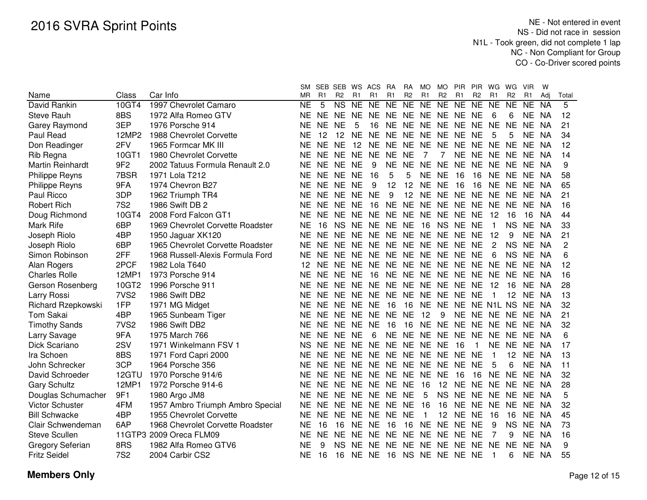|                         |                  |                                  | SM        |           | SEB SEB WS             |           | ACS                        | RA             | <b>RA</b>       | <b>MO</b>    | <b>MO</b>       | <b>PIR</b>                       | <b>PIR</b>     | WG.            | WG             | <b>VIR</b>  | W         |                |
|-------------------------|------------------|----------------------------------|-----------|-----------|------------------------|-----------|----------------------------|----------------|-----------------|--------------|-----------------|----------------------------------|----------------|----------------|----------------|-------------|-----------|----------------|
| Name                    | Class            | Car Info                         | MR.       | R1        | R <sub>2</sub>         | R1        | R1                         | R <sub>1</sub> | R <sub>2</sub>  | R1           | R <sub>2</sub>  | R1                               | R <sub>2</sub> | R <sub>1</sub> | R <sub>2</sub> | R1          | Adi       | Total          |
| David Rankin            | 10GT4            | 1997 Chevrolet Camaro            | NE        | 5         | $\overline{\text{NS}}$ | NE        | $\overline{NE}$            | NE             | N <sub>E</sub>  | $N_{E}$      | NE              | N <sub>E</sub>                   | N <sub>E</sub> | <b>NE</b>      | NE             | NE          | <b>NA</b> | 5              |
| <b>Steve Rauh</b>       | 8BS              | 1972 Alfa Romeo GTV              | NE.       | NE.       | <b>NE</b>              | <b>NE</b> | NE.                        | NE NE          |                 |              | NE NE NE        |                                  | <b>NE</b>      | 6              | 6              | <b>NE</b>   | <b>NA</b> | 12             |
| Garey Raymond           | 3EP              | 1976 Porsche 914                 | ΝE        | NE.       | <b>NE</b>              | 5         | 16                         | <b>NE</b>      | <b>NE</b>       |              | NE NE NE        |                                  | <b>NE</b>      | <b>NE</b>      | <b>NE</b>      | NE.         | <b>NA</b> | 21             |
| Paul Read               | 12MP2            | 1988 Chevrolet Corvette          | ΝE        | 12        | 12                     | <b>NE</b> | <b>NE</b>                  |                |                 |              |                 | NE NE NE NE NE NE                |                | 5              | 5              | <b>NE</b>   | <b>NA</b> | 34             |
| Don Readinger           | 2FV              | 1965 Formcar MK III              | <b>NE</b> | NE        | <b>NE</b>              | 12        |                            |                |                 |              |                 | NE NE NE NE NE NE NE NE NE NE NA |                |                |                |             |           | 12             |
| Rib Regna               | 10GT1            | 1980 Chevrolet Corvette          | ΝE        |           | NE NE NE               |           | NE.                        | <b>NE</b>      | <b>NE</b>       | 7            | $\overline{7}$  |                                  |                | NE NE NE NE    |                | NE NA       |           | 14             |
| <b>Martin Reinhardt</b> | 9F <sub>2</sub>  | 2002 Tatuus Formula Renault 2.0  | ΝE        |           | NE NE NE               |           | 9                          | NE NE          |                 |              | NE NE NE        |                                  |                | NE NE NE NE NA |                |             |           | 9              |
| Philippe Reyns          | 7BSR             | 1971 Lola T212                   | ΝE        |           | NE NE NE               |           | 16                         | 5              | 5               |              | NE NE           | -16                              | 16             |                |                | NE NE NE NA |           | 58             |
| Philippe Reyns          | 9FA              | 1974 Chevron B27                 | ΝE        |           | NE NE NE               |           | 9                          | 12             | 12              | NE NE        |                 | 16                               | 16             |                |                | NE NE NE NA |           | 65             |
| Paul Ricco              | 3DP              | 1962 Triumph TR4                 | ΝE        |           | NE NE NE NE            |           |                            | 9              | 12 <sub>2</sub> |              |                 | NE NE NE NE NE NE NE NA          |                |                |                |             |           | 21             |
| <b>Robert Rich</b>      | <b>7S2</b>       | 1986 Swift DB 2                  | ΝE        | NE.       | NE NE                  |           | 16                         |                |                 |              |                 | NE NE NE NE NE NE                |                | NE NE NE       |                |             | NA        | 16             |
| Doug Richmond           | 10GT4            | 2008 Ford Falcon GT1             | ΝE        | NE.       | NE NE                  |           | NE.                        | NE NE          |                 |              | NE NE NE        |                                  | <b>NE</b>      | 12             | 16             | 16          | <b>NA</b> | 44             |
| Mark Rife               | 6BP              | 1969 Chevrolet Corvette Roadster | ΝE        | 16        | <b>NS</b>              | <b>NE</b> | NE                         | NE NE          |                 | 16           | NS NE           |                                  | <b>NE</b>      | $\mathbf 1$    | <b>NS</b>      | <b>NE</b>   | <b>NA</b> | 33             |
| Joseph Riolo            | 4BP              | 1950 Jaguar XK120                | ΝE        | <b>NE</b> | <b>NE</b>              | <b>NE</b> | NE                         | NE NE          |                 |              | NE NE NE        |                                  | <b>NE</b>      | 12             | 9              | <b>NE</b>   | NA        | 21             |
| Joseph Riolo            | 6BP              | 1965 Chevrolet Corvette Roadster | ΝE        | NE.       |                        | NE NE     | NE NE NE NE NE NE          |                |                 |              |                 |                                  | <b>NE</b>      | $\overline{2}$ | <b>NS</b>      | NE          | NA.       | $\overline{c}$ |
| Simon Robinson          | 2FF              | 1968 Russell-Alexis Formula Ford | ΝE        | NE.       | NE NE                  |           | NE NE NE NE NE NE          |                |                 |              |                 |                                  | <b>NE</b>      | 6              | <b>NS</b>      | NE NA       |           | 6              |
| Alan Rogers             | 2PCF             | 1982 Lola T640                   | 12        | NE.       | NE NE                  |           | NE NE NE NE NE NE          |                |                 |              |                 |                                  | NE             | NE NE          |                | NE.         | NA        | 12             |
| <b>Charles Rolle</b>    | 12MP1            | 1973 Porsche 914                 | ΝE        | NE.       | NE NE                  |           | 16                         |                |                 |              |                 | NE NE NE NE NE NE                |                | NE NE          |                | NE NA       |           | 16             |
| Gerson Rosenberg        | 10GT2            | 1996 Porsche 911                 | ΝE        | NE.       |                        |           | NE NE NE NE NE NE NE NE NE |                |                 |              |                 |                                  |                | 12             | 16             | NE.         | <b>NA</b> | 28             |
| Larry Rossi             | 7VS <sub>2</sub> | 1986 Swift DB2                   | ΝE        | <b>NE</b> | NE NE                  |           | <b>NE</b>                  |                |                 | NE NE NE     | NE NE           |                                  | <b>NE</b>      |                | 12             | NE.         | <b>NA</b> | 13             |
| Richard Rzepkowski      | 1FP              | 1971 MG Midget                   | ΝE        | <b>NE</b> | <b>NE</b>              | <b>NE</b> | <b>NE</b>                  | 16             | 16              | <b>NE</b>    | NE NE           |                                  |                | NE N1L NS      |                | <b>NE</b>   | NA        | 32             |
| <b>Tom Sakai</b>        | 4BP              | 1965 Sunbeam Tiger               | NE        | <b>NE</b> | <b>NE</b>              | <b>NE</b> | <b>NE</b>                  | <b>NE</b>      | <b>NE</b>       | 12           | 9               | <b>NE</b>                        | NE NE          |                | <b>NE</b>      | NE NA       |           | 21             |
| <b>Timothy Sands</b>    | 7VS <sub>2</sub> | 1986 Swift DB2                   | NE        | <b>NE</b> | NE.                    | <b>NE</b> | <b>NE</b>                  | 16             | 16              | <b>NE</b>    | <b>NE</b>       | <b>NE</b>                        | NE NE          |                | <b>NE</b>      | NE.         | NA        | 32             |
| Larry Savage            | 9FA              | 1975 March 766                   | NE        | <b>NE</b> | <b>NE</b>              | <b>NE</b> | 6                          | <b>NE</b>      | <b>NE</b>       | NE NE        |                 | <b>NE</b>                        | <b>NE</b>      | NE.            | NE             | NE NA       |           | 6              |
| Dick Scariano           | 2SV              | 1971 Winkelmann FSV 1            | <b>NS</b> | <b>NE</b> | <b>NE</b>              | <b>NE</b> | <b>NE</b>                  | <b>NE</b>      | <b>NE</b>       | NE NE        |                 | 16                               | 1              | <b>NE</b>      | <b>NE</b>      | NE NA       |           | 17             |
| Ira Schoen              | 8BS              | 1971 Ford Capri 2000             | NE        | <b>NE</b> | NE.                    | <b>NE</b> |                            | NE NE NE       |                 |              | NE NE NE        |                                  | <b>NE</b>      | $\mathbf 1$    | 12             | NE.         | NA        | 13             |
| John Schrecker          | 3CP              | 1964 Porsche 356                 | NE        | <b>NE</b> | NF.                    | <b>NE</b> | NE NE                      |                | <b>NE</b>       |              | NE NE NE        |                                  | <b>NE</b>      | 5              | 6              | NE NA       |           | 11             |
| David Schroeder         | 12GTU            | 1970 Porsche 914/6               | NE        | NE.       | NE.                    | NE.       | NE NE                      |                | <b>NE</b>       | NE           | NE.             | 16                               | 16             | NF.            | <b>NE</b>      | NE NA       |           | 32             |
| <b>Gary Schultz</b>     | 12MP1            | 1972 Porsche 914-6               | <b>NE</b> | NE.       | NE.                    | <b>NE</b> | NE NE                      |                | <b>NE</b>       | 16           | 12 <sub>2</sub> | <b>NE</b>                        | NE.            | NE.            | <b>NE</b>      | NE NA       |           | 28             |
| Douglas Schumacher      | 9F1              | 1980 Argo JM8                    | <b>NE</b> | NE.       | NE.                    | <b>NE</b> | NE NE                      |                | <b>NE</b>       | 5            | <b>NS</b>       | <b>NE</b>                        | NE.            | NE.            | <b>NE</b>      | NE NA       |           | 5              |
| <b>Victor Schuster</b>  | 4FM              | 1957 Ambro Triumph Ambro Special | <b>NE</b> | NE.       | NE.                    | NE.       | NE.                        | NE.            | <b>NE</b>       | 16           | 16              | <b>NE</b>                        | NE.            | NE.            | NE.            | NE.         | - NA      | 32             |
| <b>Bill Schwacke</b>    | 4BP              | 1955 Chevrolet Corvette          | <b>NE</b> | NE.       | NE.                    | <b>NE</b> | NE.                        | NE.            | <b>NE</b>       | $\mathbf{1}$ | 12              | <b>NE</b>                        | <b>NE</b>      | 16             | 16             | NE.         | NA        | 45             |
| Clair Schwendeman       | 6AP              | 1968 Chevrolet Corvette Roadster | <b>NE</b> | 16        | 16                     | <b>NE</b> | <b>NE</b>                  | 16             | 16              | NE.          | <b>NE</b>       | <b>NE</b>                        | <b>NE</b>      | 9              | <b>NS</b>      | NE.         | NA        | 73             |
| <b>Steve Scullen</b>    |                  | 11GTP3 2009 Oreca FLM09          | <b>NE</b> | NE.       | NE.                    | <b>NE</b> | NE.                        | <b>NE</b>      | <b>NE</b>       | NE NE        |                 | NE                               | <b>NE</b>      | 7              | 9              | NE.         | NA        | 16             |
| Gregory Seferian        | 8RS              | 1982 Alfa Romeo GTV6             | NE        | 9         | <b>NS</b>              | <b>NE</b> | NE.                        | NE.            | <b>NE</b>       | NE           | <b>NE</b>       | <b>NE</b>                        | NE.            | NE.            | <b>NE</b>      | NE.         | NA        | 9              |
| <b>Fritz Seidel</b>     | 7S <sub>2</sub>  | 2004 Carbir CS2                  | ΝE        | 16        | 16                     | <b>NE</b> | NE.                        | 16             | <b>NS</b>       |              |                 | NE NE NE NE                      |                |                | 6              | NE NA       |           | 55             |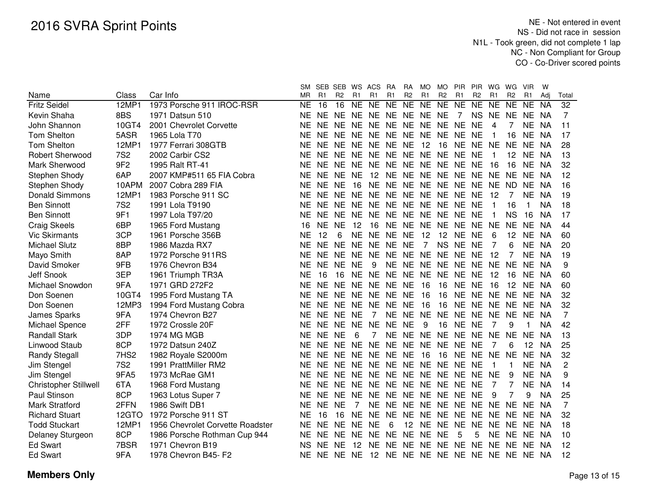|                              |                  |                                  | <b>SM</b> |           | SEB SEB WS ACS |           |                                  | <b>RA</b> | <b>RA</b>         | MO             | MO.            | <b>PIR</b>        | <b>PIR</b>      | <b>WG</b>           | WG             | <b>VIR</b> | W         |                 |
|------------------------------|------------------|----------------------------------|-----------|-----------|----------------|-----------|----------------------------------|-----------|-------------------|----------------|----------------|-------------------|-----------------|---------------------|----------------|------------|-----------|-----------------|
| Name                         | Class            | Car Info                         | <b>MR</b> | R1        | R <sub>2</sub> | R1        | R <sub>1</sub>                   | R1        | R <sub>2</sub>    | R1             | R <sub>2</sub> | R1                | <b>R2</b>       | R1                  | R <sub>2</sub> | R1         | Adi       | Total           |
| <b>Fritz Seidel</b>          | 12MP1            | 1973 Porsche 911 IROC-RSR        | <b>NE</b> | 16        | 16             | NE        | NE                               | NE        | <b>NE</b>         | NE             | N <sub>E</sub> | $N_{E}$           | $\overline{NE}$ | $\overline{\sf NE}$ | <b>NE</b>      | <b>NE</b>  | <b>NA</b> | $\overline{32}$ |
| Kevin Shaha                  | 8BS              | 1971 Datsun 510                  | NE        | <b>NE</b> | NE NE          |           | <b>NE</b>                        |           |                   | NE NE NE NE    |                | $\overline{7}$    | <b>NS</b>       | NE.                 | NE             | NE         | NA        | 7               |
| John Shannon                 | 10GT4            | 2001 Chevrolet Corvette          | ΝE        | <b>NE</b> | NE NE          |           | <b>NE</b>                        |           |                   | NE NE NE NE NE |                |                   | <b>NE</b>       | 4                   |                | NE.        | NA        | 11              |
| <b>Tom Shelton</b>           | 5ASR             | 1965 Lola T70                    | ΝE        | <b>NE</b> | NE NE          |           | NE NE NE NE NE NE                |           |                   |                |                |                   | <b>NE</b>       |                     | 16             | NE NA      |           | 17              |
| <b>Tom Shelton</b>           | 12MP1            | 1977 Ferrari 308GTB              | NE        | <b>NE</b> | NE NE          |           | NE NE NE                         |           |                   | 12             |                | 16 NE NE          |                 | <b>NE</b>           | <b>NE</b>      | NE.        | <b>NA</b> | 28              |
| <b>Robert Sherwood</b>       | <b>7S2</b>       | 2002 Carbir CS2                  | NE        | <b>NE</b> | NE NE          |           | NE NE NE NE NE NE                |           |                   |                |                |                   | <b>NE</b>       |                     | 12             | NE NA      |           | 13              |
| Mark Sherwood                | 9F <sub>2</sub>  | 1995 Ralt RT-41                  | NE        | <b>NE</b> | NE NE          |           | NE.                              |           |                   |                |                | NE NE NE NE NE NE |                 | 16                  | 16             | NE.        | <b>NA</b> | 32              |
| Stephen Shody                | 6AP              | 2007 KMP#511 65 FIA Cobra        | NE        | <b>NE</b> | NE NE          |           | 12                               | NE NE     |                   | NE NE NE       |                |                   | <b>NE</b>       | <b>NE</b>           | <b>NE</b>      | NE         | NA        | 12              |
| Stephen Shody                | 10APM            | 2007 Cobra 289 FIA               | <b>NE</b> | <b>NE</b> | <b>NE</b>      | 16        | <b>NE</b>                        | NE NE     |                   | NE NE NE       |                |                   | <b>NE</b>       | <b>NE</b>           | ND             | <b>NE</b>  | <b>NA</b> | 16              |
| <b>Donald Simmons</b>        | 12MP1            | 1983 Porsche 911 SC              | <b>NE</b> | <b>NE</b> | NE NE          |           | <b>NE</b>                        | NE NE     |                   | NE NE NE       |                |                   | <b>NE</b>       | 12                  | 7              | <b>NE</b>  | <b>NA</b> | 19              |
| <b>Ben Sinnott</b>           | <b>7S2</b>       | 1991 Lola T9190                  | <b>NE</b> | <b>NE</b> | NE NE          |           | <b>NE</b>                        | NE NE     |                   | NE NE NE       |                |                   | <b>NE</b>       | 1                   | 16             | 1          | <b>NA</b> | 18              |
| <b>Ben Sinnott</b>           | 9F1              | 1997 Lola T97/20                 | <b>NE</b> | <b>NE</b> | NE NE          |           | <b>NE</b>                        |           |                   | NE NE NE NE NE |                |                   | <b>NE</b>       |                     | <b>NS</b>      | 16         | <b>NA</b> | 17              |
| <b>Craig Skeels</b>          | 6BP              | 1965 Ford Mustang                | 16        | <b>NE</b> | <b>NE</b>      | 12        | 16                               | NE.       |                   | NE NE NE NE    |                |                   | <b>NE</b>       | <b>NE</b>           | <b>NE</b>      | <b>NE</b>  | NA        | 44              |
| <b>Vic Skirmants</b>         | 3CP              | 1961 Porsche 356B                | <b>NE</b> | 12        | 6              | <b>NE</b> | <b>NE</b>                        | <b>NE</b> | <b>NE</b>         | 12             |                | 12 NE             | <b>NE</b>       | 6                   | 12             | NE         | NA        | 60              |
| <b>Michael Slutz</b>         | 8BP              | 1986 Mazda RX7                   | NE        | <b>NE</b> | <b>NE</b>      | NE        | <b>NE</b>                        | <b>NE</b> | <b>NE</b>         | 7              | <b>NS</b>      | <b>NE</b>         | <b>NE</b>       | 7                   | 6              | <b>NE</b>  | NA        | 20              |
| Mayo Smith                   | 8AP              | 1972 Porsche 911RS               | NE        | <b>NE</b> | <b>NE</b>      | <b>NE</b> | <b>NE</b>                        | <b>NE</b> | NE NE             |                | <b>NE</b>      | NE                | <b>NE</b>       | 12                  | 7              | <b>NE</b>  | NA        | 19              |
| David Smoker                 | 9FB              | 1976 Chevron B34                 | <b>NE</b> | <b>NE</b> | <b>NE</b>      | <b>NE</b> | 9                                | <b>NE</b> |                   | NE NE NE       |                | <b>NE</b>         | <b>NE</b>       | <b>NE</b>           | <b>NE</b>      | NE.        | - NA      | 9               |
| Jeff Snook                   | 3EP              | 1961 Triumph TR3A                | <b>NE</b> | 16        | 16             | <b>NE</b> | <b>NE</b>                        | <b>NE</b> | <b>NE</b>         | NE             | <b>NE</b>      | <b>NE</b>         | <b>NE</b>       | 12                  | 16             | NE.        | NA        | 60              |
| Michael Snowdon              | 9FA              | 1971 GRD 272F2                   | NE        | <b>NE</b> | <b>NE</b>      | <b>NE</b> | NE NE NE                         |           |                   | 16             | 16             | <b>NE</b>         | <b>NE</b>       | 16                  | 12             | NE         | -NA       | 60              |
| Don Soenen                   | 10GT4            | 1995 Ford Mustang TA             | NE        | NE.       |                |           | NE NE NE NE NE                   |           |                   | 16             | 16             | NE NE NE NE       |                 |                     |                | NE NA      |           | 32              |
| Don Soenen                   | 12MP3            | 1994 Ford Mustang Cobra          | <b>NE</b> | <b>NE</b> |                |           | NE NE NE NE NE                   |           |                   | 16             | 16             | NE NE NE NE       |                 |                     |                | NE NA      |           | 32              |
| James Sparks                 | 9FA              | 1974 Chevron B27                 | <b>NE</b> | <b>NE</b> | NE NE          |           | -7                               |           | NE NE NE          |                |                | NE NE NE          |                 | NE NE               |                | NE NA      |           | 7               |
| Michael Spence               | 2FF              | 1972 Crossle 20F                 | <b>NE</b> | <b>NE</b> | NE NE NE       |           |                                  | <b>NE</b> | <b>NE</b>         | 9              | 16             | <b>NE</b>         | <b>NE</b>       | 7                   | 9              | 1          | <b>NA</b> | 42              |
| <b>Randall Stark</b>         | 3DP              | <b>1974 MG MGB</b>               | <b>NE</b> | <b>NE</b> | <b>NE</b>      | 6         | 7                                | <b>NE</b> |                   |                |                | NE NE NE NE NE NE |                 |                     | <b>NE</b>      | <b>NE</b>  | <b>NA</b> | 13              |
| Linwood Staub                | 8CP              | 1972 Datsun 240Z                 | <b>NE</b> | <b>NE</b> | NE NE NE       |           |                                  |           |                   | NE NE NE       |                | NE NE NE          |                 | 7                   | 6              | 12         | <b>NA</b> | 25              |
| <b>Randy Stegall</b>         | 7HS <sub>2</sub> | 1982 Royale S2000m               | NE        | NE.       |                |           | NE NE NE NE NE                   |           |                   | -16            | 16 NE          |                   | NE NE           |                     | NE             | <b>NE</b>  | <b>NA</b> | 32              |
| Jim Stengel                  | <b>7S2</b>       | 1991 PrattMiller RM2             | NE        | <b>NE</b> |                |           | NE NE NE NE NE NE NE NE NE       |           |                   |                |                |                   |                 | 1                   | -1             | NE.        | NA        | 2               |
| Jim Stengel                  | 9FA5             | 1973 McRae GM1                   | ΝE        | NE.       |                |           | NE NE NE NE NE NE NE NE NE NE    |           |                   |                |                |                   |                 |                     | 9              | <b>NE</b>  | <b>NA</b> | 9               |
| <b>Christopher Stillwell</b> | 6TA              | 1968 Ford Mustang                | NE.       | <b>NE</b> |                |           | NE NE NE NE NE NE NE NE NE       |           |                   |                |                |                   |                 | 7                   | 7              | <b>NE</b>  | <b>NA</b> | 14              |
| Paul Stinson                 | 8CP              | 1963 Lotus Super 7               | NE.       | <b>NE</b> | NE NE          |           | NE NE NE NE NE NE NE             |           |                   |                |                |                   |                 | 9                   |                | 9          | <b>NA</b> | 25              |
| Mark Stratford               | 2FFN             | 1986 Swift DB1                   | ΝE        | <b>NE</b> | <b>NE</b>      | 7         | <b>NE</b>                        |           |                   |                |                | NE NE NE NE NE NE |                 | NE NE               |                | NE.        | <b>NA</b> | 7               |
| <b>Richard Stuart</b>        | 12GTO            | 1972 Porsche 911 ST              | NE        | 16        | 16             | NE.       | NE.                              | NE.       |                   |                |                | NE NE NE NE NE    |                 | NE.                 | <b>NE</b>      | NE.        | <b>NA</b> | 32              |
| <b>Todd Stuckart</b>         | 12MP1            | 1956 Chevrolet Corvette Roadster | NF.       | <b>NE</b> | NE NE          |           | <b>NE</b>                        | 6         | $12 \overline{ }$ |                | NE NE NE       |                   | NE.             | NE.                 | <b>NE</b>      | NE.        | NA        | 18              |
| Delaney Sturgeon             | 8CP              | 1986 Porsche Rothman Cup 944     | NE.       | <b>NE</b> | NE NE          |           | <b>NE</b>                        | NE NE     |                   | NE NE          |                | 5                 | 5               | NE NE               |                | NE NA      |           | 10              |
| <b>Ed Swart</b>              | 7BSR             | 1971 Chevron B19                 | ΝS        | <b>NE</b> | <b>NE</b>      | 12        | NE.                              | NE NE     |                   |                | NE NE NE       |                   | NE.             | NE.                 | NE.            | NE NA      |           | 12              |
| <b>Ed Swart</b>              | 9FA              | 1978 Chevron B45- F2             | ΝE        |           | NE NE NE       |           | 12 NE NE NE NE NE NE NE NE NE NA |           |                   |                |                |                   |                 |                     |                |            |           | 12              |
|                              |                  |                                  |           |           |                |           |                                  |           |                   |                |                |                   |                 |                     |                |            |           |                 |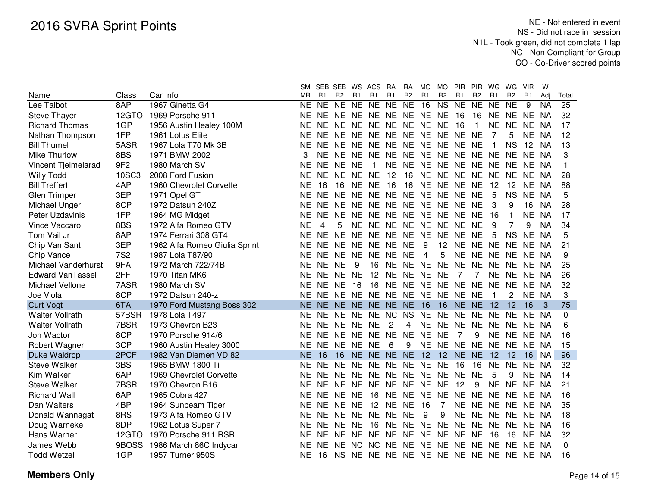|                         |                 |                               | SM.       |                | SEB SEB WS     |           | ACS                           | <b>RA</b>      | <b>RA</b>      | <b>MO</b>               | MO                     | <b>PIR</b>           | <b>PIR</b>          | WG                  | WG              | <b>VIR</b> | W         |                 |
|-------------------------|-----------------|-------------------------------|-----------|----------------|----------------|-----------|-------------------------------|----------------|----------------|-------------------------|------------------------|----------------------|---------------------|---------------------|-----------------|------------|-----------|-----------------|
| Name                    | Class           | Car Info                      | <b>MR</b> | R <sub>1</sub> | R <sub>2</sub> | R1        | R1                            | R <sub>1</sub> | R <sub>2</sub> | R <sub>1</sub>          | R <sub>2</sub>         | R1                   | R <sub>2</sub>      | R <sub>1</sub>      | R <sub>2</sub>  | R1         | Adj       | Total           |
| Lee Talbot              | 8AP             | 1967 Ginetta G4               | <b>NE</b> | NE             | NE             | NE        | NE                            | NE             | $N_{E}$        | $\overline{16}$         | $\overline{\text{NS}}$ | $\overline{NE}$      | $\overline{\sf NE}$ | $\overline{\sf NE}$ | $\overline{NE}$ | 9          | <b>NA</b> | $\overline{25}$ |
| <b>Steve Thayer</b>     | 12GTO           | 1969 Porsche 911              | <b>NE</b> |                |                |           | NE NE NE NE NE NE NE NE       |                |                |                         |                        | -16                  | 16                  | NE.                 | <b>NE</b>       | NE.        | <b>NA</b> | 32              |
| <b>Richard Thomas</b>   | 1GP             | 1956 Austin Healey 100M       | <b>NE</b> |                |                |           | NE NE NE NE NE NE NE NE       |                |                |                         |                        | 16                   | 1                   | <b>NE</b>           | <b>NE</b>       | <b>NE</b>  | <b>NA</b> | 17              |
| Nathan Thompson         | 1FP             | 1961 Lotus Elite              | ΝE        |                |                |           | NE NE NE NE NE NE NE NE NE NE |                |                |                         |                        |                      |                     | 7                   | 5               | NE NA      |           | 12              |
| <b>Bill Thumel</b>      | 5ASR            | 1967 Lola T70 Mk 3B           | ΝE        |                |                |           | NE NE NE NE NE NE NE NE NE NE |                |                |                         |                        |                      |                     | 1                   | <b>NS</b>       | 12         | <b>NA</b> | 13              |
| Mike Thurlow            | 8BS             | 1971 BMW 2002                 |           | <b>NE</b>      |                |           | NE NE NE NE NE NE NE NE NE NE |                |                |                         |                        |                      |                     |                     | <b>NE</b>       | <b>NE</b>  | <b>NA</b> | 3               |
| Vincent Tjelmelarad     | 9F <sub>2</sub> | 1980 March SV                 | ΝE        | <b>NE</b>      | NE NE          |           | 1                             |                | NE NE NE       |                         |                        | NE NE NE NE          |                     |                     | <b>NE</b>       | NE.        | <b>NA</b> | 1               |
| <b>Willy Todd</b>       | <b>10SC3</b>    | 2008 Ford Fusion              | ΝE        | <b>NE</b>      | NE NE NE       |           |                               | 12             | 16             | <b>NE</b>               |                        | NE NE NE             |                     | <b>NE</b>           | <b>NE</b>       | NE.        | NA        | 28              |
| <b>Bill Treffert</b>    | 4AP             | 1960 Chevrolet Corvette       | ΝE        | 16             | 16             | NE        | <b>NE</b>                     | 16             | 16             | NE.                     | <b>NE</b>              | <b>NE</b>            | <b>NE</b>           | 12                  | 12              | <b>NE</b>  | <b>NA</b> | 88              |
| <b>Glen Trimper</b>     | 3EP             | 1971 Opel GT                  | ΝE        | <b>NE</b>      | NE NE          |           |                               | NE NE NE       |                | <b>NE</b>               | <b>NE</b>              | <b>NE</b>            | <b>NE</b>           | 5                   | <b>NS</b>       | <b>NE</b>  | <b>NA</b> | 5               |
| Michael Unger           | 8CP             | 1972 Datsun 240Z              | ΝE        | <b>NE</b>      | <b>NE</b>      | <b>NE</b> |                               | NE NE NE       |                | NE NE                   |                        | <b>NE</b>            | <b>NE</b>           | 3                   | 9               | 16         | <b>NA</b> | 28              |
| Peter Uzdavinis         | 1FP             | 1964 MG Midget                | ΝE        | <b>NE</b>      | NE NE          |           |                               |                |                |                         |                        | NE NE NE NE NE NE NE |                     | 16                  | $\mathbf{1}$    | <b>NE</b>  | <b>NA</b> | 17              |
| <b>Vince Vaccaro</b>    | 8BS             | 1972 Alfa Romeo GTV           | <b>NE</b> | 4              | 5              |           | NE NE NE NE NE NE NE          |                |                |                         |                        |                      | <b>NE</b>           | 9                   |                 | 9          | <b>NA</b> | 34              |
| Tom Vail Jr             | 8AP             | 1974 Ferrari 308 GT4          | <b>NE</b> | <b>NE</b>      |                | NE NE     | NE NE NE                      |                |                | <b>NE</b>               | <b>NE</b>              | <b>NE</b>            | <b>NE</b>           | 5                   | <b>NS</b>       | <b>NE</b>  | <b>NA</b> | 5               |
| Chip Van Sant           | 3EP             | 1962 Alfa Romeo Giulia Sprint | ΝE        | <b>NE</b>      |                |           | NE NE NE NE NE                |                |                | 9                       | 12 <sup>°</sup>        |                      | NE NE NE            |                     | <b>NE</b>       | <b>NE</b>  | ΝA        | 21              |
| Chip Vance              | <b>7S2</b>      | 1987 Lola T87/90              | ΝE        | <b>NE</b>      | NE NE          |           | NE                            | NE NE          |                | $\overline{\mathbf{4}}$ | 5                      |                      | NE NE NE            |                     | <b>NE</b>       | NE NA      |           | 9               |
| Michael Vanderhurst     | 9FA             | 1972 March 722/74B            | <b>NE</b> | NE.            | <b>NE</b>      | 9         | 16                            |                |                | NE NE NE NE             |                        | <b>NE</b>            | NE NE               |                     | <b>NE</b>       | NE NA      |           | 25              |
| <b>Edward VanTassel</b> | 2FF             | 1970 Titan MK6                | ΝE        | <b>NE</b>      | NE NE          |           | 12                            | NE NE          |                | <b>NE</b>               | <b>NE</b>              | 7                    | 7                   | <b>NE</b>           | <b>NE</b>       | <b>NE</b>  | <b>NA</b> | 26              |
| Michael Vellone         | 7ASR            | 1980 March SV                 | ΝE        | <b>NE</b>      | <b>NE</b>      | 16        | 16                            | NE NE          |                |                         | NE NE NE               |                      | <b>NE</b>           | <b>NE</b>           | <b>NE</b>       | <b>NE</b>  | <b>NA</b> | 32              |
| Joe Viola               | 8CP             | 1972 Datsun 240-z             | <b>NE</b> | <b>NE</b>      | NE NE          |           | NE NE NE                      |                |                | NE NE                   |                        | <b>NE</b>            | <b>NE</b>           |                     | 2               | <b>NE</b>  | <b>NA</b> | 3               |
| <b>Curt Vogt</b>        | 6TA             | 1970 Ford Mustang Boss 302    | <b>NE</b> | <b>NE</b>      |                |           | NE NE NE NE NE                |                |                | 16                      | 16                     | NE NE                |                     | 12                  | 12              | 16         | 3         | 75              |
| <b>Walter Vollrath</b>  | 57BSR           | 1978 Lola T497                | NE        | <b>NE</b>      | <b>NE</b>      | <b>NE</b> | <b>NE</b>                     | <b>NC</b>      | <b>NS</b>      | <b>NE</b>               | <b>NE</b>              | <b>NE</b>            | <b>NE</b>           | <b>NE</b>           | <b>NE</b>       | NE         | <b>NA</b> | $\Omega$        |
| <b>Walter Vollrath</b>  | 7BSR            | 1973 Chevron B23              | <b>NE</b> | <b>NE</b>      | NE NE          |           | <b>NE</b>                     | $\overline{c}$ | 4              |                         | NE NE                  | <b>NE</b>            | <b>NE</b>           | <b>NE</b>           | <b>NE</b>       | NE         | NA        | 6               |
| Jon Wactor              | 8CP             | 1970 Porsche 914/6            | <b>NE</b> | <b>NE</b>      | NE.            | <b>NE</b> | NE NE                         |                | <b>NE</b>      | NE                      | <b>NE</b>              | 7                    | 9                   | <b>NE</b>           | <b>NE</b>       | <b>NE</b>  | <b>NA</b> | 16              |
| Robert Wagner           | 3CP             | 1960 Austin Healey 3000       | <b>NE</b> | <b>NE</b>      | NE NE          |           | <b>NE</b>                     | 6              | 9              | <b>NE</b>               | <b>NE</b>              | <b>NE</b>            | <b>NE</b>           | <b>NE</b>           | <b>NE</b>       | NE NA      |           | 15              |
| Duke Waldrop            | 2PCF            | 1982 Van Diemen VD 82         | <b>NE</b> | 16             | 16             |           | NE NE NE NE                   |                |                | 12                      |                        | 12 NE NE             |                     | 12                  | 12              | 16         | <b>NA</b> | 96              |
| <b>Steve Walker</b>     | 3BS             | 1965 BMW 1800 Ti              | <b>NE</b> | <b>NE</b>      | <b>NE</b>      | <b>NE</b> | NE NE                         |                | <b>NE</b>      | NE NE                   |                        | 16                   | 16                  | <b>NE</b>           | <b>NE</b>       | <b>NE</b>  | <b>NA</b> | 32              |
| Kim Walker              | 6AP             | 1969 Chevrolet Corvette       | <b>NE</b> | <b>NE</b>      | NE NE          |           | NE NE NE                      |                |                | NE NE                   |                        | <b>NE</b>            | <b>NE</b>           | 5                   | 9               | NE.        | NA        | 14              |
| <b>Steve Walker</b>     | 7BSR            | 1970 Chevron B16              | <b>NE</b> | NE.            | NE.            | NE.       | NE.                           | NE.            | <b>NE</b>      | NE NE                   |                        | 12                   | 9                   | <b>NE</b>           | <b>NE</b>       | NE.        | NA        | 21              |
| <b>Richard Wall</b>     | 6AP             | 1965 Cobra 427                | <b>NE</b> | <b>NE</b>      | NE.            | <b>NE</b> | 16                            | <b>NE</b>      | <b>NE</b>      | NE.                     | <b>NE</b>              | <b>NE</b>            | <b>NE</b>           | <b>NE</b>           | <b>NE</b>       | NE.        | - NA      | 16              |
| Dan Walters             | 4BP             | 1964 Sunbeam Tiger            | <b>NE</b> | NE.            | <b>NE</b>      | <b>NE</b> | 12                            | <b>NE</b>      | <b>NE</b>      | -16                     | 7                      | <b>NE</b>            | <b>NE</b>           | <b>NE</b>           | NE              | NE NA      |           | 35              |
| Donald Wannagat         | 8RS             | 1973 Alfa Romeo GTV           | <b>NE</b> | NE.            | <b>NE</b>      | NE        | <b>NE</b>                     | <b>NE</b>      | <b>NE</b>      | 9                       | 9                      | <b>NE</b>            | NE NE               |                     | <b>NE</b>       | NE NA      |           | 18              |
| Doug Warneke            | 8DP             | 1962 Lotus Super 7            | <b>NE</b> | <b>NE</b>      | <b>NE</b>      | <b>NE</b> | 16                            | <b>NE</b>      | NE.            | <b>NE</b>               | <b>NE</b>              | <b>NE</b>            | <b>NE</b>           | <b>NE</b>           | <b>NE</b>       | NE NA      |           | 16              |
| Hans Warner             | 12GTO           | 1970 Porsche 911 RSR          | NE        | NE.            | NE.            | <b>NE</b> | NE.                           | NE.            | <b>NE</b>      | NE.                     | <b>NE</b>              | <b>NE</b>            | <b>NE</b>           | 16                  | 16              | <b>NE</b>  | -NA       | 32              |
| James Webb              | 9BOSS           | 1986 March 86C Indycar        | ΝF        | <b>NE</b>      | NE.            | <b>NC</b> | <b>NC</b>                     | NE.            | <b>NE</b>      | <b>NE</b>               | <b>NE</b>              | <b>NE</b>            | <b>NE</b>           | <b>NE</b>           | <b>NE</b>       | <b>NE</b>  | - NA      | 0               |
| <b>Todd Wetzel</b>      | 1GP             | 1957 Turner 950S              | <b>NE</b> | 16             | <b>NS</b>      | <b>NE</b> |                               | NE NE NE       |                |                         | NE NE NE               |                      | NE NE               |                     | NE.             | NE.        | - NA      | 16              |